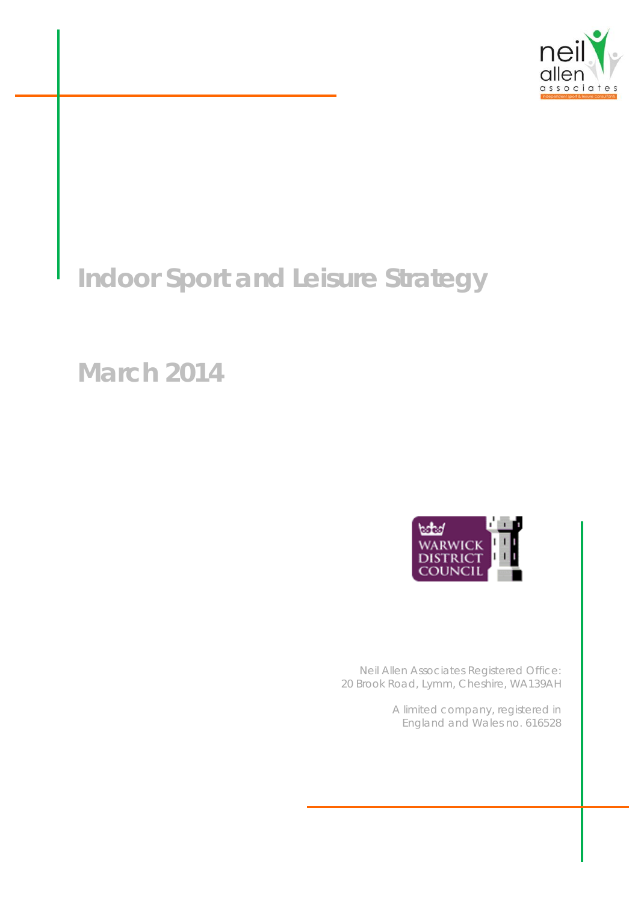

# **Indoor Sport and Leisure Strategy**

## **March 2014**



*Neil Allen Associates Registered Office: 20 Brook Road, Lymm, Cheshire, WA139AH* 

> *A limited company, registered in England and Wales no. 616528*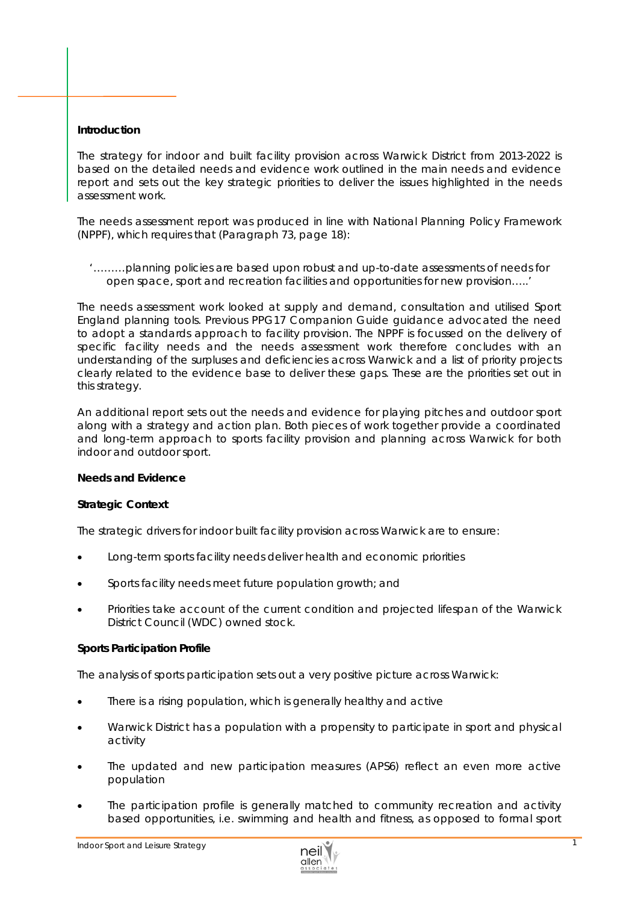## **Introduction**

The strategy for indoor and built facility provision across Warwick District from 2013-2022 is based on the detailed needs and evidence work outlined in the main needs and evidence report and sets out the key strategic priorities to deliver the issues highlighted in the needs assessment work.

The needs assessment report was produced in line with National Planning Policy Framework (NPPF), which requires that (Paragraph 73, page 18):

#### *'………planning policies are based upon robust and up-to-date assessments of needs for open space, sport and recreation facilities and opportunities for new provision…..'*

The needs assessment work looked at supply and demand, consultation and utilised Sport England planning tools. Previous PPG17 Companion Guide guidance advocated the need to adopt a standards approach to facility provision. The NPPF is focussed on the delivery of *specific facility needs* and the needs assessment work therefore concludes with an understanding of the surpluses and deficiencies across Warwick and a list of priority projects clearly related to the evidence base to deliver these gaps. These are the priorities set out in this strategy.

An additional report sets out the *needs and evidence* for playing pitches and outdoor sport along with a strategy and action plan. Both pieces of work together provide a coordinated and long-term approach to sports facility provision and planning across Warwick for both indoor and outdoor sport.

## **Needs and Evidence**

## *Strategic Context*

The strategic drivers for indoor built facility provision across Warwick are to ensure:

- Long-term sports facility needs deliver health and economic priorities
- Sports facility needs meet future population growth; and
- Priorities take account of the current condition and projected lifespan of the Warwick District Council (WDC) owned stock.

## *Sports Participation Profile*

The analysis of sports participation sets out a very positive picture across Warwick:

- There is a rising population, which is generally healthy and active
- Warwick District has a population with a propensity to participate in sport and physical activity
- The updated and new participation measures (APS6) reflect an even more active population
- The participation profile is generally matched to community recreation and activity based opportunities, i.e. swimming and health and fitness, as opposed to formal sport

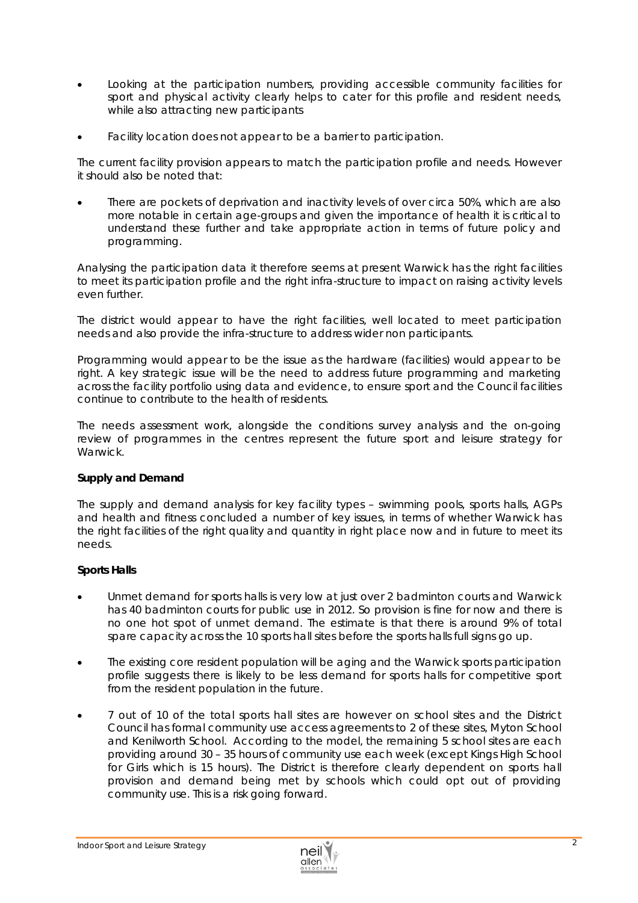- Looking at the participation numbers, providing accessible community facilities for sport and physical activity clearly helps to cater for this profile and resident needs, while also attracting new participants
- Facility location does not appear to be a barrier to participation.

The current facility provision appears to match the participation profile and needs. However it should also be noted that:

 There are pockets of deprivation and inactivity levels of over circa 50%, which are also more notable in certain age-groups and given the importance of health it is critical to understand these further and take appropriate action in terms of future policy and programming.

Analysing the participation data it therefore seems at present Warwick has the right facilities to meet its participation profile and the right infra-structure to impact on raising activity levels even further.

The district would appear to have the right facilities, well located to meet participation needs and also provide the infra-structure to address wider non participants.

Programming would appear to be the issue as the hardware (facilities) would appear to be right. A key strategic issue will be the need to address future programming and marketing across the facility portfolio using data and evidence, to ensure sport and the Council facilities continue to contribute to the health of residents.

The needs assessment work, alongside the conditions survey analysis and the on-going review of programmes in the centres represent the future sport and leisure strategy for Warwick.

## *Supply and Demand*

The supply and demand analysis for key facility types – *swimming pools, sports halls, AGPs and health and fitness* concluded a number of key issues, in terms of whether Warwick has the right facilities of the right quality and quantity in right place now and in future to meet its needs.

## *Sports Halls*

- Unmet demand for sports halls is very low at just over 2 badminton courts and Warwick has 40 badminton courts for public use in 2012. So provision is fine for now and there is no one *hot spot* of unmet demand. The estimate is that there is around 9% of total spare capacity across the 10 sports hall sites before the *sports halls full* signs go up.
- The existing core resident population will be aging and the Warwick sports participation profile suggests there is likely to be less demand for sports halls for competitive sport from the resident population in the future.
- 7 out of 10 of the total sports hall sites are however on school sites and the District Council has formal community use access agreements to 2 of these sites, Myton School and Kenilworth School. According to the model, the remaining 5 school sites are each providing around 30 – 35 hours of community use each week (except Kings High School for Girls which is 15 hours). The District is therefore clearly dependent on sports hall provision and demand being met by schools which could opt out of providing community use. This is a risk going forward.

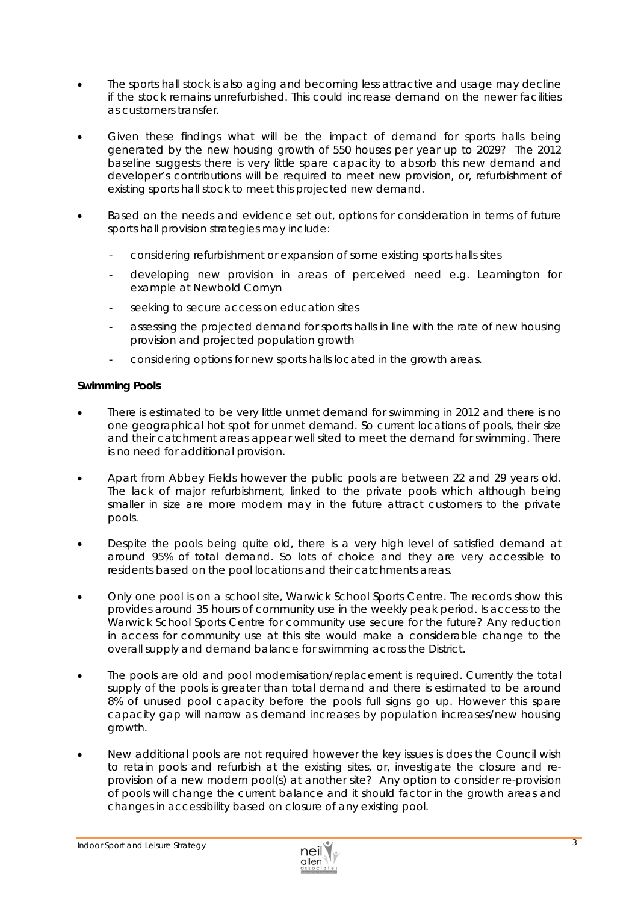- The sports hall stock is also aging and becoming less attractive and usage may decline if the stock remains unrefurbished. This could increase demand on the newer facilities as customers transfer.
- Given these findings what will be the impact of demand for sports halls being generated by the new housing growth of 550 houses per year up to 2029? The 2012 baseline suggests *there is very little spare capacity to absorb this new demand and*  developer's contributions will be required to meet new provision, or, refurbishment of *existing sports hall stock to meet this projected new demand*.
- Based on the needs and evidence set out, options for consideration in terms of future sports hall provision strategies may include:
	- considering refurbishment or expansion of some existing sports halls sites
	- developing new provision in areas of perceived need e.g. Leamington for example at Newbold Comyn
	- seeking to secure access on education sites
	- assessing the projected demand for sports halls in line with the rate of new housing provision and projected population growth
	- considering options for new sports halls located in the growth areas.

#### *Swimming Pools*

- There is estimated to be very little unmet demand for swimming in 2012 and there is no one geographical *hot spot* for unmet demand. So current locations of pools, their size and their catchment areas appear well sited to meet the demand for swimming. There is no need for additional provision.
- Apart from Abbey Fields however the public pools are between 22 and 29 years old. The lack of major refurbishment, linked to the private pools which although being smaller in size are more modern may in the future attract customers to the private pools.
- Despite the pools being quite old, there is a very high level of satisfied demand at around 95% of total demand. So lots of choice and they are very accessible to residents based on the pool locations and their catchments areas.
- Only one pool is on a school site, Warwick School Sports Centre. The records show this provides around 35 hours of community use in the weekly peak period. Is access to the Warwick School Sports Centre for community use secure for the future? Any reduction in access for community use at this site would make a considerable change to the overall supply and demand balance for swimming across the District.
- The pools are old and pool modernisation/replacement is required. Currently the total supply of the pools is greater than total demand and there is estimated to be around 8% of unused pool capacity before the pools full signs go up. However this spare capacity gap will narrow as demand increases by population increases/new housing growth.
- New additional pools are not required however the key issues is does the Council wish to retain pools and refurbish at the existing sites, or, investigate the closure and reprovision of a new modern pool(s) at another site? Any option to consider re-provision of pools will change the current balance and it should factor in the growth areas and changes in accessibility based on closure of any existing pool.

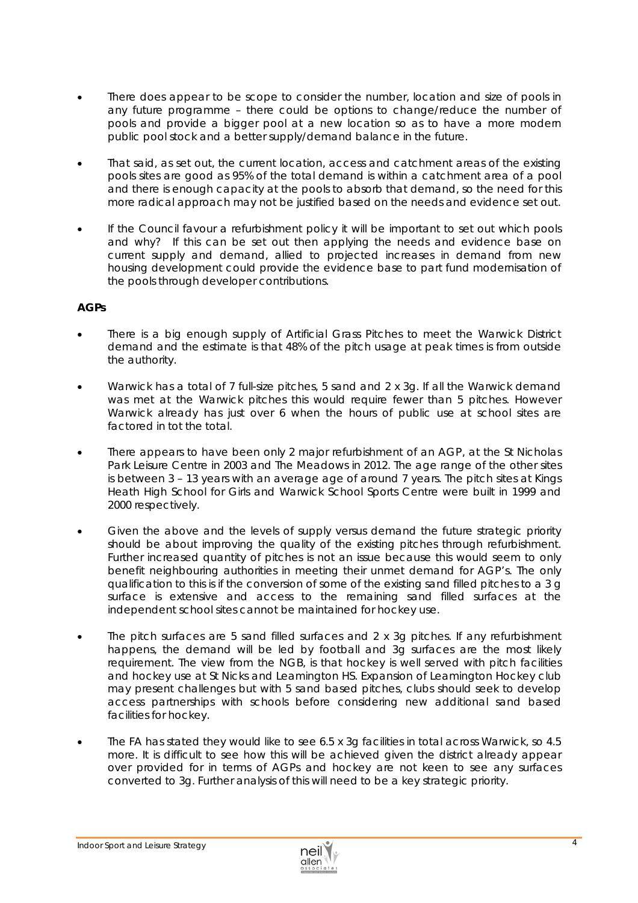- There does appear to be scope to consider the number, location and size of pools in any future programme – there could be options to change/reduce the number of pools and provide a bigger pool at a new location so as to have a more modern public pool stock and a better supply/demand balance in the future.
- That said, as set out, the current location, access and catchment areas of the existing pools sites are good as 95% of the total demand is within a catchment area of a pool and there is enough capacity at the pools to absorb that demand, so the need for this more radical approach may not be justified based on the needs and evidence set out.
- If the Council favour a refurbishment policy it will be important to set out which pools and why? If this can be set out then applying the needs and evidence base on current supply and demand, allied to projected increases in demand from new housing development could provide the evidence base to part fund modernisation of the pools through developer contributions.

## *AGPs*

- There is a big enough supply of Artificial Grass Pitches to meet the Warwick District demand and the estimate is that 48% of the pitch usage at peak times is from outside the authority.
- Warwick has a total of 7 full-size pitches, 5 sand and 2 x 3g. If all the Warwick demand was met at the Warwick pitches this would require fewer than 5 pitches. However Warwick already has just over 6 when the hours of public use at school sites are factored in tot the total.
- There appears to have been only 2 major refurbishment of an AGP, at the St Nicholas Park Leisure Centre in 2003 and The Meadows in 2012. The age range of the other sites is between 3 – 13 years with an average age of around 7 years. The pitch sites at Kings Heath High School for Girls and Warwick School Sports Centre were built in 1999 and 2000 respectively.
- Given the above and the levels of supply versus demand the future strategic priority should be about improving the quality of the existing pitches through refurbishment. Further increased quantity of pitches is not an issue because this would seem to only benefit neighbouring authorities in meeting their unmet demand for AGP's. The only qualification to this is if the conversion of some of the existing sand filled pitches to a 3 g surface is extensive and access to the remaining sand filled surfaces at the independent school sites cannot be maintained for hockey use.
- The pitch surfaces are 5 sand filled surfaces and 2 x 3g pitches. If any refurbishment happens, the demand will be led by football and 3g surfaces are the most likely requirement. The view from the NGB, is that hockey is well served with pitch facilities and hockey use at St Nicks and Leamington HS. Expansion of Leamington Hockey club may present challenges but with 5 sand based pitches, clubs should seek to develop access partnerships with schools before considering new additional sand based facilities for hockey.
- The FA has stated they would like to see 6.5 x 3g facilities in total across Warwick, so 4.5 more. It is difficult to see how this will be achieved given the district already appear over provided for in terms of AGPs and hockey are not keen to see any surfaces converted to 3g. Further analysis of this will need to be a key strategic priority.

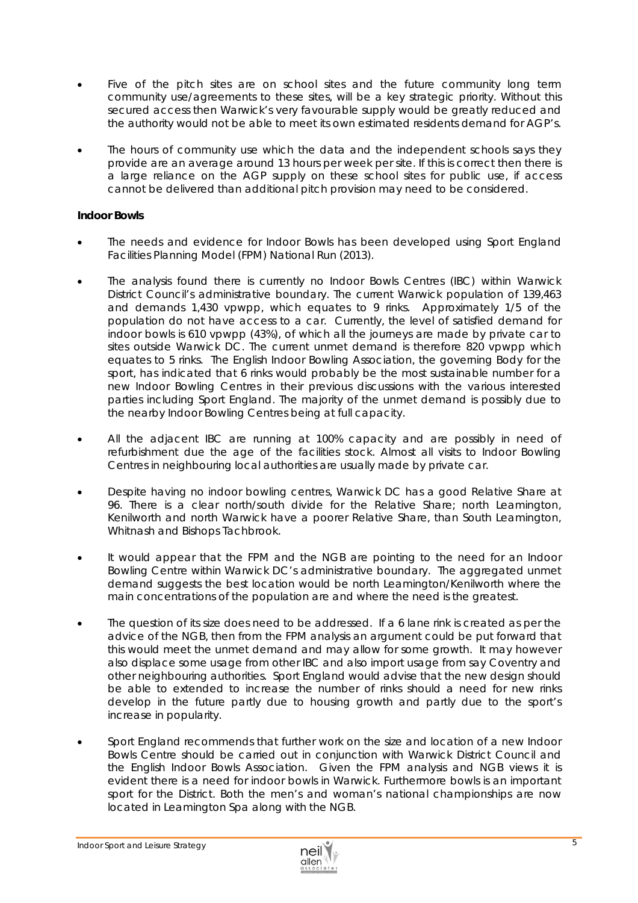- Five of the pitch sites are on school sites and the future community long term community use/agreements to these sites, will be a key strategic priority. Without this secured access then Warwick's very favourable supply would be greatly reduced and the authority would not be able to meet its own estimated residents demand for AGP's.
- The hours of community use which the data and the independent schools says they provide are an average around 13 hours per week per site. If this is correct then there is a large reliance on the AGP supply on these school sites for public use, if access cannot be delivered than additional pitch provision may need to be considered.

## *Indoor Bowls*

- The needs and evidence for Indoor Bowls has been developed using Sport England Facilities Planning Model (FPM) National Run (2013).
- The analysis found there is currently no Indoor Bowls Centres (IBC) within Warwick District Council's administrative boundary. The current Warwick population of 139,463 and demands 1,430 vpwpp, which equates to 9 rinks. Approximately 1/5 of the population do not have access to a car. Currently, the level of satisfied demand for indoor bowls is 610 vpwpp (43%), of which all the journeys are made by private car to sites outside Warwick DC. The current unmet demand is therefore 820 vpwpp which equates to 5 rinks. The English Indoor Bowling Association, the governing Body for the sport, has indicated that 6 rinks would probably be the most sustainable number for a new Indoor Bowling Centres in their previous discussions with the various interested parties including Sport England. The majority of the unmet demand is possibly due to the nearby Indoor Bowling Centres being at full capacity.
- All the adjacent IBC are running at 100% capacity and are possibly in need of refurbishment due the age of the facilities stock. Almost all visits to Indoor Bowling Centres in neighbouring local authorities are usually made by private car.
- Despite having no indoor bowling centres, Warwick DC has a good Relative Share at 96. There is a clear north/south divide for the Relative Share; north Leamington, Kenilworth and north Warwick have a poorer Relative Share, than South Leamington, Whitnash and Bishops Tachbrook.
- It would appear that the FPM and the NGB are pointing to the need for an Indoor Bowling Centre within Warwick DC's administrative boundary. The aggregated unmet demand suggests the best location would be north Leamington/Kenilworth where the main concentrations of the population are and where the need is the greatest.
- The question of its size does need to be addressed. If a 6 lane rink is created as per the advice of the NGB, then from the FPM analysis an argument could be put forward that this would meet the unmet demand and may allow for some growth. It may however also displace some usage from other IBC and also import usage from say Coventry and other neighbouring authorities. Sport England would advise that the new design should be able to extended to increase the number of rinks should a need for new rinks develop in the future partly due to housing growth and partly due to the sport's increase in popularity.
- Sport England recommends that further work on the size and location of a new Indoor Bowls Centre should be carried out in conjunction with Warwick District Council and the English Indoor Bowls Association. Given the FPM analysis and NGB views it is evident there is a need for indoor bowls in Warwick. Furthermore bowls is an important sport for the District. Both the men's and woman's national championships are now located in Leamington Spa along with the NGB.

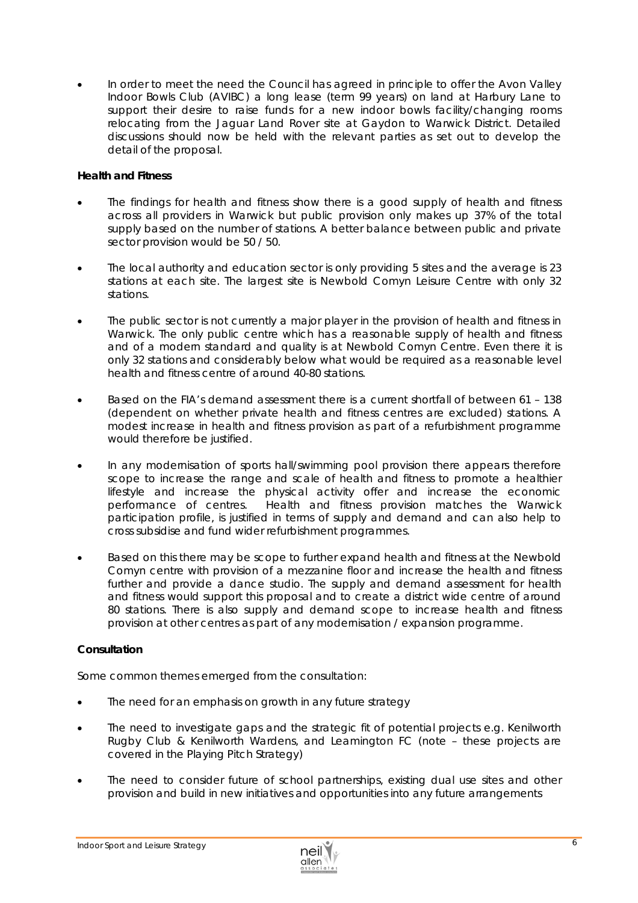In order to meet the need the Council has agreed in principle to offer the Avon Valley Indoor Bowls Club (AVIBC) a long lease (term 99 years) on land at Harbury Lane to support their desire to raise funds for a new indoor bowls facility/changing rooms relocating from the Jaguar Land Rover site at Gaydon to Warwick District. Detailed discussions should now be held with the relevant parties as set out to develop the detail of the proposal.

## *Health and Fitness*

- The findings for health and fitness show there is a good supply of health and fitness across all providers in Warwick but public provision only makes up 37% of the total supply based on the number of stations. A better balance between public and private sector provision would be 50 / 50.
- The local authority and education sector is only providing 5 sites and the average is 23 stations at each site. The largest site is Newbold Comyn Leisure Centre with only 32 stations.
- The public sector is not currently a major player in the provision of health and fitness in Warwick. The only public centre which has a reasonable supply of health and fitness and of a modern standard and quality is at Newbold Comyn Centre. Even there it is only 32 stations and considerably below what would be required as a reasonable level health and fitness centre of around 40-80 stations.
- Based on the FIA's demand assessment there is a current shortfall of between 61 138 (dependent on whether private health and fitness centres are excluded) stations. A modest increase in health and fitness provision as part of a refurbishment programme would therefore be justified.
- In any modernisation of sports hall/swimming pool provision there appears therefore scope to increase the range and scale of health and fitness to promote a healthier lifestyle and increase the physical activity offer and increase the economic performance of centres. Health and fitness provision matches the Warwick participation profile, is justified in terms of supply and demand and can also help to cross subsidise and fund wider refurbishment programmes.
- Based on this there may be scope to further expand health and fitness at the Newbold Comyn centre with provision of a mezzanine floor and increase the health and fitness further and provide a dance studio. The supply and demand assessment for health and fitness would support this proposal and to create a district wide centre of around 80 stations. There is also supply and demand scope to increase health and fitness provision at other centres as part of any modernisation / expansion programme.

## *Consultation*

Some common themes emerged from the consultation:

- The need for an emphasis on growth in any future strategy
- The need to investigate gaps and the strategic fit of potential projects e.g. Kenilworth Rugby Club & Kenilworth Wardens, and Leamington FC *(note – these projects are covered in the Playing Pitch Strategy)*
- The need to consider future of school partnerships, existing dual use sites and other provision and build in new initiatives and opportunities into any future arrangements

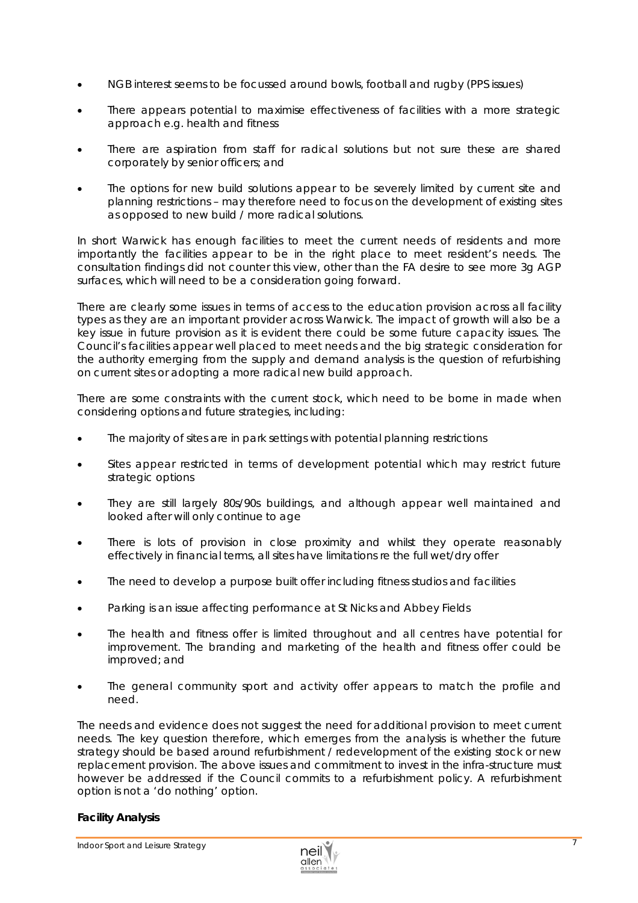- NGB interest seems to be focussed around bowls, football and rugby (PPS issues)
- There appears potential to maximise effectiveness of facilities with a more strategic approach e.g. health and fitness
- There are aspiration from staff for radical solutions but not sure these are shared corporately by senior officers; and
- The options for new build solutions appear to be severely limited by current site and planning restrictions – may therefore need to focus on the development of existing sites as opposed to new build / more radical solutions.

In short Warwick has enough facilities to meet the current needs of residents and more importantly the facilities appear to be in the right place to meet resident's needs. The consultation findings did not counter this view, other than the FA desire to see more 3g AGP surfaces, which will need to be a consideration going forward.

There are clearly some issues in terms of access to the education provision across all facility types as they are an important provider across Warwick. The impact of growth will also be a key issue in future provision as it is evident there could be some future capacity issues. The Council's facilities appear well placed to meet needs and the big strategic consideration for the authority emerging from the supply and demand analysis is the question of refurbishing on current sites or adopting a more radical new build approach.

There are some constraints with the current stock, which need to be borne in made when considering options and future strategies, including:

- The majority of sites are in park settings with potential planning restrictions
- Sites appear restricted in terms of development potential which may restrict future strategic options
- They are still largely 80s/90s buildings, and although appear well maintained and looked after will only continue to age
- There is lots of provision in close proximity and whilst they operate reasonably effectively in financial terms, all sites have limitations re the full wet/dry offer
- The need to develop a purpose built offer including fitness studios and facilities
- Parking is an issue affecting performance at St Nicks and Abbey Fields
- The health and fitness offer is limited throughout and all centres have potential for improvement. The branding and marketing of the health and fitness offer could be improved; and
- The general community sport and activity offer appears to match the profile and need.

The needs and evidence does not suggest the need for *additional provision to meet current needs.* The key question therefore, which emerges from the analysis is whether the future strategy should be based around refurbishment / redevelopment of the existing stock or new replacement provision. The above issues and commitment to invest in the infra-structure must however be addressed if the Council commits to a refurbishment policy. A refurbishment option is not a *'do nothing'* option.

## *Facility Analysis*

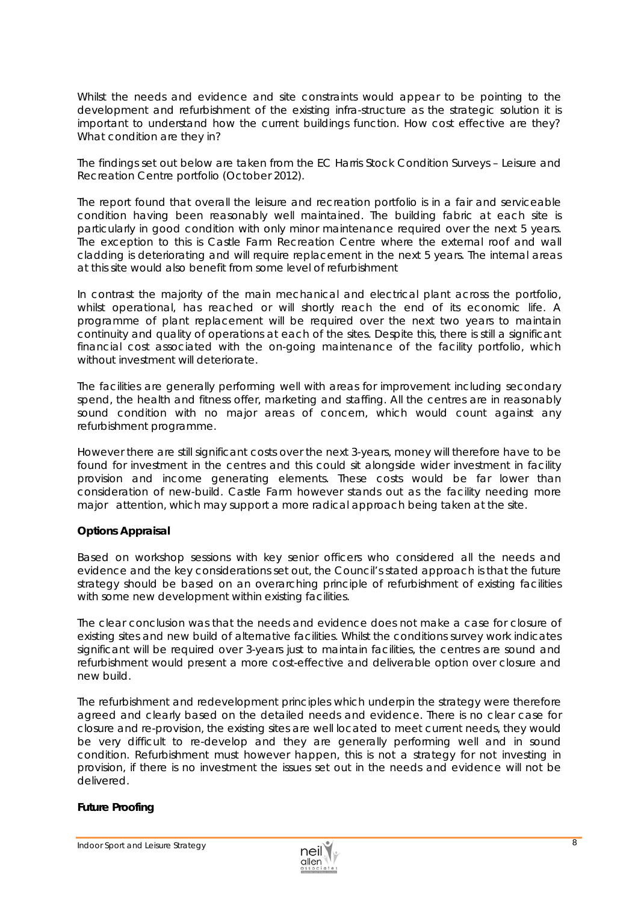Whilst the needs and evidence and site constraints would appear to be pointing to the development and refurbishment of the existing infra-structure as the strategic solution it is important to understand how the current buildings function. How cost effective are they? What condition are they in?

#### The findings set out below are taken from the *EC Harris Stock Condition Surveys – Leisure and Recreation Centre portfolio (October 2012).*

The report found that overall the leisure and recreation portfolio is in a fair and serviceable condition having been reasonably well maintained. The building fabric at each site is particularly in good condition with only minor maintenance required over the next 5 years. The exception to this is Castle Farm Recreation Centre where the external roof and wall cladding is deteriorating and will require replacement in the next 5 years. The internal areas at this site would also benefit from some level of refurbishment

In contrast the majority of the main mechanical and electrical plant across the portfolio, whilst operational, has reached or will shortly reach the end of its economic life. A programme of plant replacement will be required over the next two years to maintain continuity and quality of operations at each of the sites. Despite this, there is still a significant financial cost associated with the on-going maintenance of the facility portfolio, which without investment will deteriorate.

The facilities are generally performing well with areas for improvement including secondary spend, the health and fitness offer, marketing and staffing. All the centres are in reasonably sound condition with no major areas of concern, which would count against any refurbishment programme.

However there are still significant costs over the next 3-years, money will therefore have to be found for investment in the centres and this could sit alongside wider investment in facility provision and income generating elements. These costs would be far lower than consideration of new-build. Castle Farm however stands out as the facility needing more major attention, which may support a more radical approach being taken at the site.

## *Options Appraisal*

Based on workshop sessions with key senior officers who considered all the needs and evidence and the key considerations set out, the Council's stated approach is that the future strategy should be based on an overarching *principle of refurbishment of existing facilities with some new development within existing facilities.*

The clear conclusion was that the needs and evidence does not make a case for closure of existing sites and new build of alternative facilities. Whilst the conditions survey work indicates significant will be required over 3-years just to maintain facilities, the centres are sound and refurbishment would present a more cost-effective and deliverable option over closure and new build.

The refurbishment and redevelopment principles which underpin the strategy were therefore agreed and clearly based on the detailed needs and evidence. There is no clear case for closure and re-provision, the existing sites are well located to meet current needs, they would be very difficult to re-develop and they are generally performing well and in sound condition. Refurbishment must however happen, this is not a strategy for *not investing* in provision, if there is no investment the issues set out in the needs and evidence will not be delivered.

## *Future Proofing*

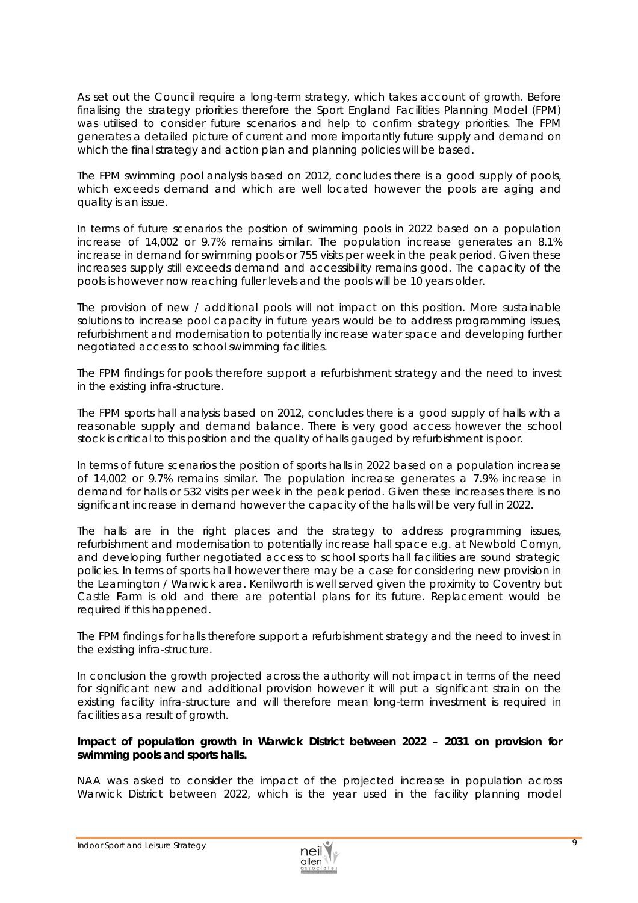As set out the Council require a long-term strategy, which takes account of growth. Before finalising the strategy priorities therefore the Sport England Facilities Planning Model (FPM) was utilised to consider future scenarios and help to confirm strategy priorities. The FPM generates a detailed picture of current and more importantly future supply and demand on which the final strategy and action plan and planning policies will be based.

The FPM swimming pool analysis based on 2012, concludes there is a good supply of pools, which exceeds demand and which are well located however the pools are aging and quality is an issue.

In terms of future scenarios the position of swimming pools in 2022 based on a population increase of 14,002 or 9.7% remains similar. The population increase generates an 8.1% increase in demand for swimming pools or 755 visits per week in the peak period. Given these increases supply still exceeds demand and accessibility remains good. The capacity of the pools is however now reaching fuller levels and the pools will be 10 years older.

The provision of new / additional pools will not impact on this position. More sustainable solutions to increase pool capacity in future years would be to address programming issues, refurbishment and modernisation to potentially increase water space and developing further negotiated access to school swimming facilities.

The FPM findings for pools therefore support a refurbishment strategy and the need to invest in the existing infra-structure.

The FPM sports hall analysis based on 2012, concludes there is a good supply of halls with a reasonable supply and demand balance. There is very good access however the school stock is critical to this position and the quality of halls gauged by refurbishment is poor.

In terms of future scenarios the position of sports halls in 2022 based on a population increase of 14,002 or 9.7% remains similar. The population increase generates a 7.9% increase in demand for halls or 532 visits per week in the peak period. Given these increases there is no significant increase in demand however the capacity of the halls will be very full in 2022.

The halls are in the right places and the strategy to address programming issues, refurbishment and modernisation to potentially increase hall space e.g. at Newbold Comyn, and developing further negotiated access to school sports hall facilities are sound strategic policies. In terms of sports hall however there may be a case for considering new provision in the Leamington / Warwick area. Kenilworth is well served given the proximity to Coventry but Castle Farm is old and there are potential plans for its future. Replacement would be required if this happened.

The FPM findings for halls therefore support a refurbishment strategy and the need to invest in the existing infra-structure.

In conclusion the growth projected across the authority will not impact in terms of the need for significant new and additional provision however it will put a significant strain on the existing facility infra-structure and will therefore mean long-term investment is required in facilities as a result of growth.

#### *Impact of population growth in Warwick District between 2022 – 2031 on provision for swimming pools and sports halls.*

NAA was asked to consider the impact of the projected increase in population across Warwick District between 2022, which is the year used in the facility planning model

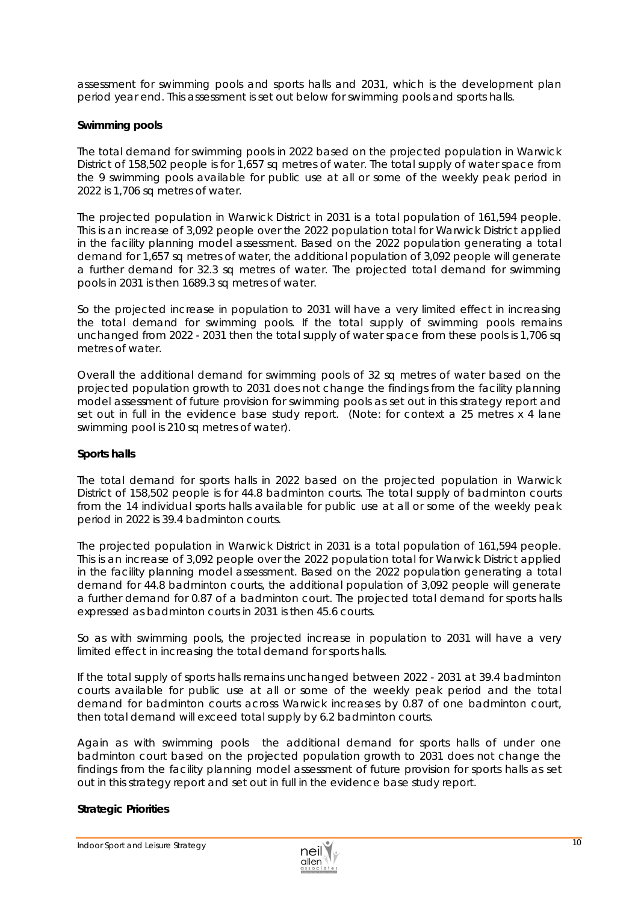assessment for swimming pools and sports halls and 2031, which is the development plan period year end. This assessment is set out below for swimming pools and sports halls.

## *Swimming pools*

The total demand for swimming pools in 2022 based on the projected population in Warwick District of 158,502 people is for 1,657 sq metres of water. The total supply of water space from the 9 swimming pools available for public use at all or some of the weekly peak period in 2022 is 1,706 sq metres of water.

The projected population in Warwick District in 2031 is a total population of 161,594 people. This is an increase of 3,092 people over the 2022 population total for Warwick District applied in the facility planning model assessment. Based on the 2022 population generating a total demand for 1,657 sq metres of water, the additional population of 3,092 people will generate a further demand for 32.3 sq metres of water. The projected total demand for swimming pools in 2031 is then 1689.3 sq metres of water.

So the projected increase in population to 2031 will have a very limited effect in increasing the total demand for swimming pools. If the total supply of swimming pools remains unchanged from 2022 - 2031 then the total supply of water space from these pools is 1,706 sq metres of water.

Overall the additional demand for swimming pools of 32 sq metres of water based on the projected population growth to 2031 does not change the findings from the facility planning model assessment of future provision for swimming pools as set out in this strategy report and set out in full in the evidence base study report. (Note: for context a 25 metres x 4 lane swimming pool is 210 sq metres of water).

#### *Sports halls*

The total demand for sports halls in 2022 based on the projected population in Warwick District of 158,502 people is for 44.8 badminton courts. The total supply of badminton courts from the 14 individual sports halls available for public use at all or some of the weekly peak period in 2022 is 39.4 badminton courts.

The projected population in Warwick District in 2031 is a total population of 161,594 people. This is an increase of 3,092 people over the 2022 population total for Warwick District applied in the facility planning model assessment. Based on the 2022 population generating a total demand for 44.8 badminton courts, the additional population of 3,092 people will generate a further demand for 0.87 of a badminton court. The projected total demand for sports halls expressed as badminton courts in 2031 is then 45.6 courts.

So as with swimming pools, the projected increase in population to 2031 will have a very limited effect in increasing the total demand for sports halls.

If the total supply of sports halls remains unchanged between 2022 - 2031 at 39.4 badminton courts available for public use at all or some of the weekly peak period and the total demand for badminton courts across Warwick increases by 0.87 of one badminton court, then total demand will exceed total supply by 6.2 badminton courts.

Again as with swimming pools the additional demand for sports halls of under one badminton court based on the projected population growth to 2031 does not change the findings from the facility planning model assessment of future provision for sports halls as set out in this strategy report and set out in full in the evidence base study report.

#### **Strategic Priorities**

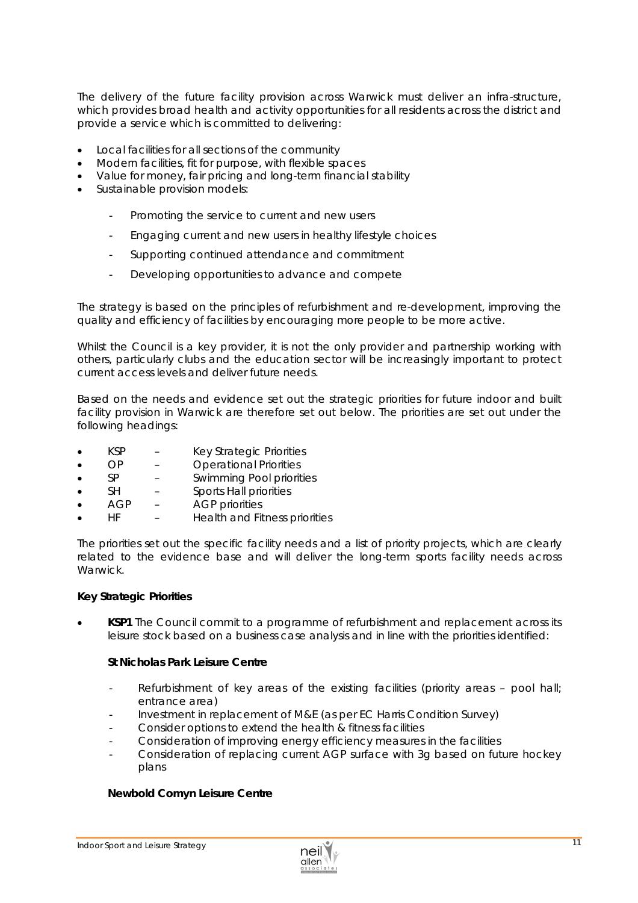The delivery of the future facility provision across Warwick must deliver an infra-structure, which provides broad health and activity opportunities for all residents across the district and provide a service which is committed to delivering:

- Local facilities for all sections of the community
- Modern facilities, *fit for purpose*, with flexible spaces
- Value for money, fair pricing and long-term financial stability
- Sustainable provision models:
	- Promoting the service to current and new users
	- Engaging current and new users in healthy lifestyle choices
	- Supporting continued attendance and commitment
	- Developing opportunities to advance and compete

The strategy is based on the principles of refurbishment and re-development, improving the quality and efficiency of facilities by encouraging more people to be more active.

Whilst the Council is a key provider, it is not the only provider and partnership working with others, particularly clubs and the education sector will be increasingly important to protect current access levels and deliver future needs.

Based on the needs and evidence set out the strategic priorities for future indoor and built facility provision in Warwick are therefore set out below. The priorities are set out under the following headings:

- KSP Key Strategic Priorities
- OP Operational Priorities
- SP Swimming Pool priorities
- SH Sports Hall priorities
- AGP AGP priorities
- HF Health and Fitness priorities

The priorities set out the *specific facility needs* and a list of priority projects, which are clearly related to the evidence base and will deliver the long-term sports facility needs across Warwick.

#### *Key Strategic Priorities*

 **KSP1** The Council commit to a programme of refurbishment and replacement across its leisure stock based on a business case analysis and in line with the priorities identified:

#### *St Nicholas Park Leisure Centre*

- Refurbishment of key areas of the existing facilities (priority areas pool hall; entrance area)
- Investment in replacement of M&E (as per EC Harris Condition Survey)
- Consider options to extend the health & fitness facilities
- Consideration of improving energy efficiency measures in the facilities
- Consideration of replacing current AGP surface with 3g based on future hockey plans

#### *Newbold Comyn Leisure Centre*

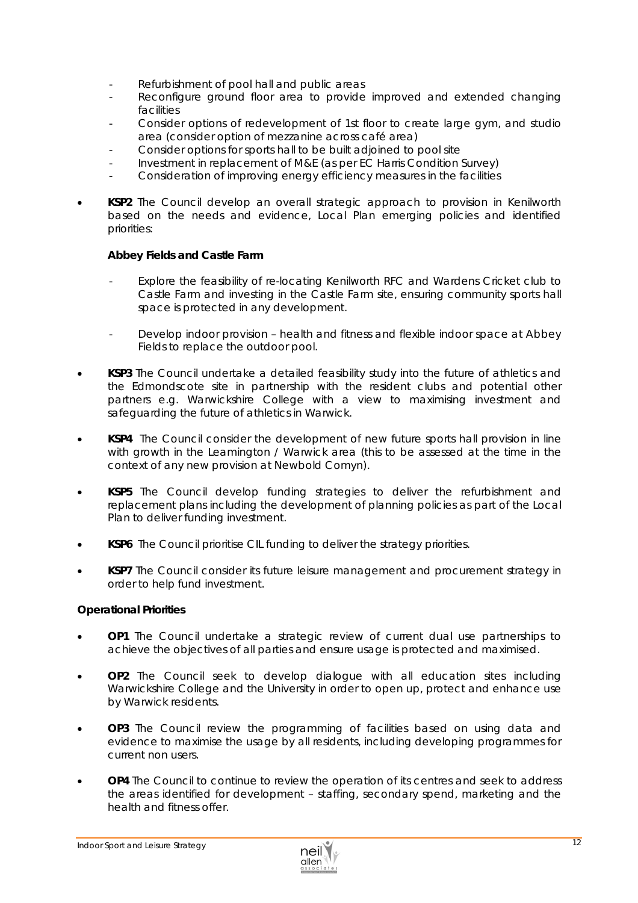- Refurbishment of pool hall and public areas
- Reconfigure ground floor area to provide improved and extended changing facilities
- Consider options of redevelopment of 1st floor to create large gym, and studio area (consider option of mezzanine across café area)
- Consider options for sports hall to be built adjoined to pool site
- Investment in replacement of M&E (as per EC Harris Condition Survey)
- Consideration of improving energy efficiency measures in the facilities
- **KSP2** The Council develop an overall strategic approach to provision in Kenilworth based on the needs and evidence, Local Plan emerging policies and identified priorities:

#### *Abbey Fields and Castle Farm*

- Explore the feasibility of re-locating Kenilworth RFC and Wardens Cricket club to Castle Farm and investing in the Castle Farm site, ensuring community sports hall space is protected in any development.
- Develop indoor provision health and fitness and flexible indoor space at Abbey Fields to replace the outdoor pool.
- **KSP3** The Council undertake a detailed feasibility study into the future of athletics and the Edmondscote site in partnership with the resident clubs and potential other partners e.g. Warwickshire College with a view to maximising investment and safeguarding the future of athletics in Warwick.
- **KSP4** The Council consider the development of new future sports hall provision in line with growth in the Leamington / Warwick area (this to be assessed at the time in the context of any new provision at Newbold Comyn).
- **KSP5** The Council develop funding strategies to deliver the refurbishment and replacement plans including the development of planning policies as part of the Local Plan to deliver funding investment.
- **KSP6** The Council prioritise CIL funding to deliver the strategy priorities.
- **KSP7** The Council consider its future leisure management and procurement strategy in order to help fund investment.

#### *Operational Priorities*

- **OP1** The Council undertake a strategic review of current dual use partnerships to achieve the objectives of all parties and ensure usage is protected and maximised.
- **OP2** The Council seek to develop dialogue with all education sites including Warwickshire College and the University in order to open up, protect and enhance use by Warwick residents.
- **OP3** The Council review the programming of facilities based on using data and evidence to maximise the usage by all residents, including developing programmes for current non users.
- **OP4** The Council to continue to review the operation of its centres and seek to address the areas identified for development – staffing, secondary spend, marketing and the health and fitness offer.

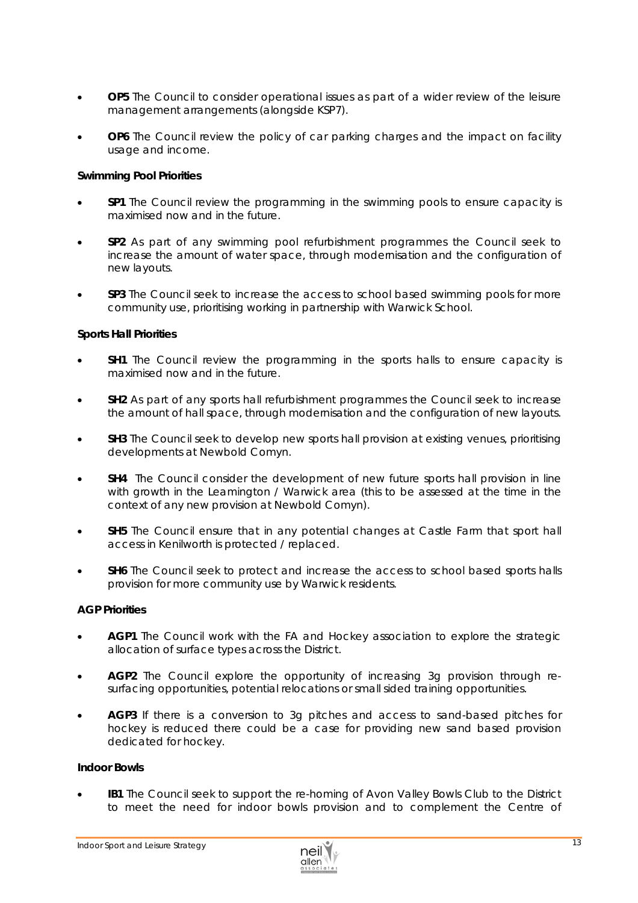- **OP5** The Council to consider operational issues as part of a wider review of the leisure management arrangements (alongside KSP7).
- **OP6** The Council review the policy of car parking charges and the impact on facility usage and income.

## *Swimming Pool Priorities*

- **SP1** The Council review the programming in the swimming pools to ensure capacity is maximised now and in the future.
- **SP2** As part of any swimming pool refurbishment programmes the Council seek to increase the amount of water space, through modernisation and the configuration of new layouts.
- **SP3** The Council seek to increase the access to school based swimming pools for more community use, prioritising working in partnership with Warwick School.

#### *Sports Hall Priorities*

- **SH1** The Council review the programming in the sports halls to ensure capacity is maximised now and in the future.
- **SH2** As part of any sports hall refurbishment programmes the Council seek to increase the amount of hall space, through modernisation and the configuration of new layouts.
- **SH3** The Council seek to develop new sports hall provision at existing venues, prioritising developments at Newbold Comyn.
- **SH4** The Council consider the development of new future sports hall provision in line with growth in the Leamington / Warwick area (this to be assessed at the time in the context of any new provision at Newbold Comyn).
- **SH5** The Council ensure that in any potential changes at Castle Farm that sport hall access in Kenilworth is protected / replaced.
- **SH6** The Council seek to protect and increase the access to school based sports halls provision for more community use by Warwick residents.

#### *AGP Priorities*

- **AGP1** The Council work with the FA and Hockey association to explore the strategic allocation of surface types across the District.
- **AGP2** The Council explore the opportunity of increasing 3g provision through resurfacing opportunities, potential relocations or small sided training opportunities.
- **AGP3** If there is a conversion to 3g pitches and access to sand-based pitches for hockey is reduced there could be a case for providing new sand based provision dedicated for hockey.

#### *Indoor Bowls*

 **IB1** The Council seek to support the re-homing of Avon Valley Bowls Club to the District to meet the need for indoor bowls provision and to complement the Centre of

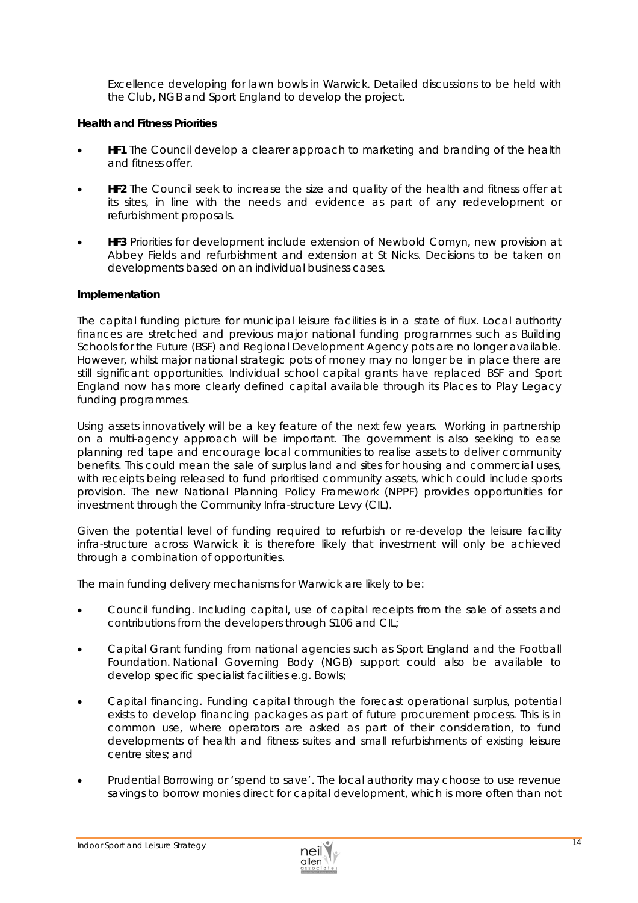Excellence developing for lawn bowls in Warwick. Detailed discussions to be held with the Club, NGB and Sport England to develop the project.

## *Health and Fitness Priorities*

- **HF1** The Council develop a clearer approach to marketing and branding of the health and fitness offer.
- **HF2** The Council seek to increase the size and quality of the health and fitness offer at its sites, in line with the needs and evidence as part of any redevelopment or refurbishment proposals.
- **HF3** Priorities for development include extension of Newbold Comyn, new provision at Abbey Fields and refurbishment and extension at St Nicks. Decisions to be taken on developments based on an individual business cases.

#### **Implementation**

The capital funding picture for municipal leisure facilities is in a state of flux. Local authority finances are stretched and previous major national funding programmes such as Building Schools for the Future (BSF) and Regional Development Agency pots are no longer available. However, whilst major national strategic pots of money may no longer be in place there are still significant opportunities. Individual school capital grants have replaced BSF and Sport England now has more clearly defined capital available through its *Places to Play* Legacy funding programmes.

Using assets innovatively will be a key feature of the next few years. Working in partnership on a multi-agency approach will be important. The government is also seeking to ease planning red tape and encourage local communities to realise assets to deliver community benefits. This could mean the sale of surplus land and sites for housing and commercial uses, with receipts being released to fund prioritised community assets, which could include sports provision. The new National Planning Policy Framework (NPPF) provides opportunities for investment through the Community Infra-structure Levy (CIL).

Given the potential level of funding required to refurbish or re-develop the leisure facility infra-structure across Warwick it is therefore likely that investment will only be achieved through a combination of opportunities.

The main funding delivery mechanisms for Warwick are likely to be:

- Council funding. Including capital, use of capital receipts from the sale of assets and contributions from the developers through S106 and CIL;
- Capital Grant funding from national agencies such as Sport England and the Football Foundation. National Governing Body (NGB) support could also be available to develop specific specialist facilities e.g. Bowls;
- Capital financing. Funding capital through the forecast operational surplus, potential exists to develop financing packages as part of future procurement process. This is in common use, where operators are asked as part of their consideration, to fund developments of health and fitness suites and small refurbishments of existing leisure centre sites; and
- Prudential Borrowing or 'spend to save'. The local authority may choose to use revenue savings to borrow monies direct for capital development, which is more often than not

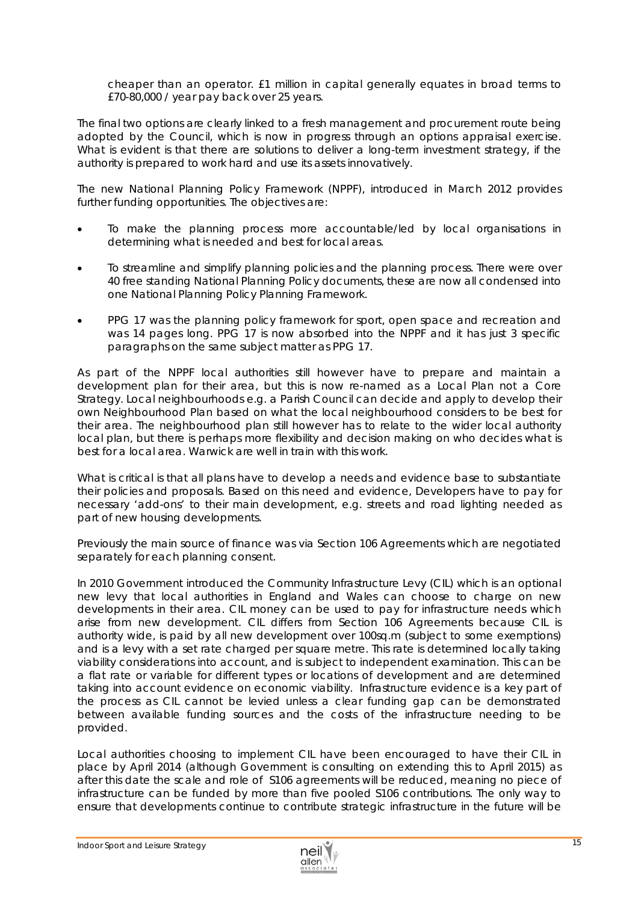cheaper than an operator. £1 million in capital generally equates in broad terms to £70-80,000 / year pay back over 25 years.

The final two options are clearly linked to a fresh management and procurement route being adopted by the Council, which is now in progress through an options appraisal exercise. What is evident is that there are solutions to deliver a long-term investment strategy, if the authority is prepared to work hard and use its assets innovatively.

The new National Planning Policy Framework (NPPF), introduced in March 2012 provides further funding opportunities. The objectives are:

- To make the planning process more accountable/led by local organisations in determining what is needed and best for local areas.
- To streamline and simplify planning policies and the planning process. There were over 40 free standing National Planning Policy documents, these are now all condensed into one National Planning Policy Planning Framework.
- PPG 17 was the planning policy framework for sport, open space and recreation and was 14 pages long. PPG 17 is now absorbed into the NPPF and it has just 3 specific paragraphs on the same subject matter as PPG 17.

As part of the NPPF local authorities still however have to prepare and maintain a development plan for their area, but this is now re-named as a Local Plan not a Core Strategy. Local neighbourhoods e.g. a Parish Council can decide and apply to develop their own Neighbourhood Plan based on what the local neighbourhood considers to be best for their area. The neighbourhood plan still however has to relate to the wider local authority local plan, but there is perhaps more flexibility and decision making on who decides what is best for a local area. Warwick are well in train with this work.

What is critical is that all plans have to develop a *needs and evidence base* to substantiate their policies and proposals. Based on this need and evidence, Developers have to pay for necessary 'add-ons' to their main development, e.g. streets and road lighting needed as part of new housing developments.

Previously the main source of finance was via Section 106 Agreements which are negotiated separately for each planning consent.

In 2010 Government introduced the Community Infrastructure Levy (CIL) which is an optional new levy that local authorities in England and Wales can choose to charge on new developments in their area. CIL money can be used to pay for infrastructure needs which arise from new development. CIL differs from Section 106 Agreements because CIL is authority wide, is paid by all new development over 100sq.m (subject to some exemptions) and is a levy with a set rate charged per square metre. This rate is determined locally taking viability considerations into account, and is subject to independent examination. This can be a flat rate or variable for different types or locations of development and are determined taking into account evidence on economic viability. Infrastructure evidence is a key part of the process as CIL cannot be levied unless a clear funding gap can be demonstrated between available funding sources and the costs of the infrastructure needing to be provided.

Local authorities choosing to implement CIL have been encouraged to have their CIL in place by April 2014 (although Government is consulting on extending this to April 2015) as after this date the scale and role of S106 agreements will be reduced, meaning no piece of infrastructure can be funded by more than five pooled S106 contributions. The only way to ensure that developments continue to contribute strategic infrastructure in the future will be

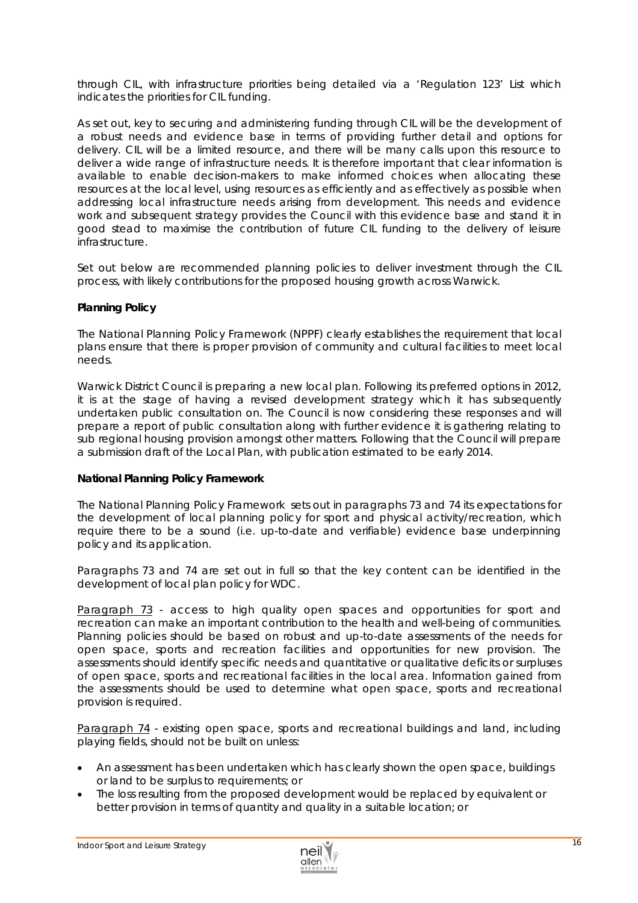through CIL, with infrastructure priorities being detailed via a 'Regulation 123' List which indicates the priorities for CIL funding.

As set out, key to securing and administering funding through CIL will be the development of a robust needs and evidence base in terms of providing further detail and options for delivery. CIL will be a limited resource, and there will be many calls upon this resource to deliver a wide range of infrastructure needs. It is therefore important that clear information is available to enable decision-makers to make informed choices when allocating these resources at the local level, using resources as efficiently and as effectively as possible when addressing local infrastructure needs arising from development. This needs and evidence work and subsequent strategy provides the Council with this evidence base and stand it in good stead to maximise the contribution of future CIL funding to the delivery of leisure infrastructure.

Set out below are recommended planning policies to deliver investment through the CIL process, with likely contributions for the proposed housing growth across Warwick.

## *Planning Policy*

The National Planning Policy Framework (NPPF) clearly establishes the requirement that local plans ensure that there is proper provision of community and cultural facilities to meet local needs.

Warwick District Council is preparing a new local plan. Following its preferred options in 2012, it is at the stage of having a revised development strategy which it has subsequently undertaken public consultation on. The Council is now considering these responses and will prepare a report of public consultation along with further evidence it is gathering relating to sub regional housing provision amongst other matters. Following that the Council will prepare a submission draft of the Local Plan, with publication estimated to be early 2014.

## *National Planning Policy Framework*

The National Planning Policy Framework sets out in paragraphs 73 and 74 its expectations for the development of local planning policy for sport and physical activity/recreation, which require there to be a sound (i.e. up-to-date and verifiable) evidence base underpinning policy and its application.

Paragraphs 73 and 74 are set out in full so that the key content can be identified in the development of local plan policy for WDC.

Paragraph 73 - access to high quality open spaces and opportunities for sport and recreation can make an important contribution to the health and well-being of communities. Planning policies should be based on robust and up-to-date assessments of the needs for open space, sports and recreation facilities and opportunities for new provision. The assessments should identify specific needs and quantitative or qualitative deficits or surpluses of open space, sports and recreational facilities in the local area. Information gained from the assessments should be used to determine what open space, sports and recreational provision is required.

Paragraph 74 - existing open space, sports and recreational buildings and land, including playing fields, should not be built on unless:

- An assessment has been undertaken which has clearly shown the open space, buildings or land to be surplus to requirements; or
- The loss resulting from the proposed development would be replaced by equivalent or better provision in terms of quantity and quality in a suitable location; or

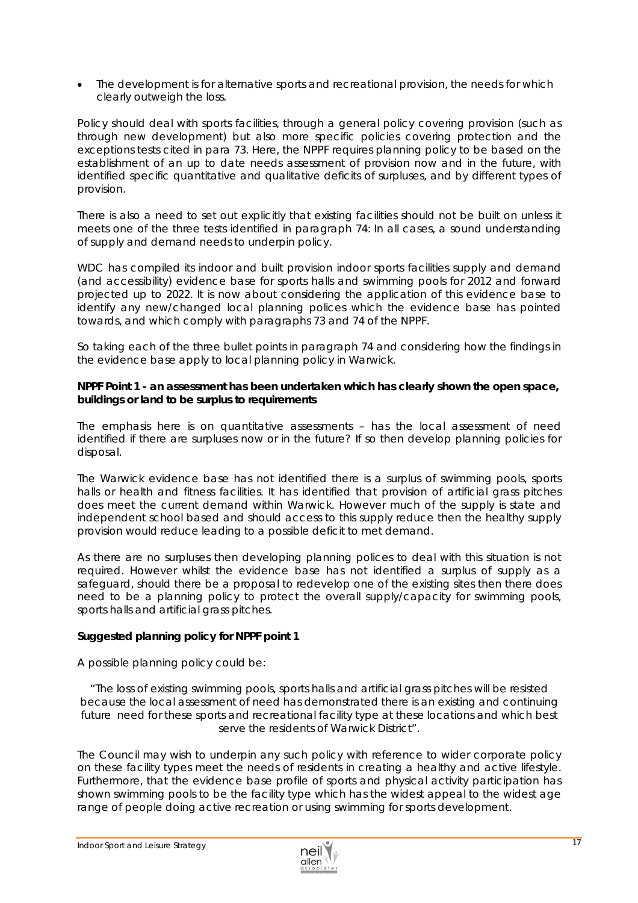The development is for alternative sports and recreational provision, the needs for which clearly outweigh the loss.

Policy should deal with sports facilities, through a general policy covering provision (such as through new development) but also more specific policies covering protection and the exceptions tests cited in para 73. Here, the NPPF requires planning policy to be based on the establishment of an up to date needs assessment of provision now and in the future, with identified specific quantitative and qualitative deficits of surpluses, and by different types of provision.

There is also a need to set out explicitly that existing facilities should not be built on unless it meets one of the three tests identified in paragraph 74: In all cases, a sound understanding of supply and demand needs to underpin policy.

WDC has compiled its indoor and built provision indoor sports facilities supply and demand (and accessibility) evidence base for sports halls and swimming pools for 2012 and forward projected up to 2022. It is now about considering the application of this evidence base to identify any new/changed local planning polices which the evidence base has pointed towards, and which comply with paragraphs 73 and 74 of the NPPF.

So taking each of the three bullet points in paragraph 74 and considering how the findings in the evidence base apply to local planning policy in Warwick.

## *NPPF Point 1 - an assessment has been undertaken which has clearly shown the open space, buildings or land to be surplus to requirements*

The emphasis here is on quantitative assessments – has the local assessment of need identified if there are surpluses now or in the future? If so then develop planning policies for disposal.

The Warwick evidence base has not identified there is a surplus of swimming pools, sports halls or health and fitness facilities. It has identified that provision of artificial grass pitches does meet the current demand within Warwick. However much of the supply is state and independent school based and should access to this supply reduce then the healthy supply provision would reduce leading to a possible deficit to met demand.

As there are no surpluses then developing planning polices to deal with this situation is not required. However whilst the evidence base has not identified a surplus of supply as a safeguard, should there be a proposal to redevelop one of the existing sites then there does need to be a planning policy to protect the overall supply/capacity for swimming pools, sports halls and artificial grass pitches.

## *Suggested planning policy for NPPF point 1*

A possible planning policy could be:

*"The loss of existing swimming pools, sports halls and artificial grass pitches will be resisted because the local assessment of need has demonstrated there is an existing and continuing future need for these sports and recreational facility type at these locations and which best serve the residents of Warwick District".* 

The Council may wish to underpin any such policy with reference to wider corporate policy on these facility types meet the needs of residents in creating a healthy and active lifestyle. Furthermore, that the evidence base profile of sports and physical activity participation has shown swimming pools to be the facility type which has the widest appeal to the widest age range of people doing active recreation or using swimming for sports development.

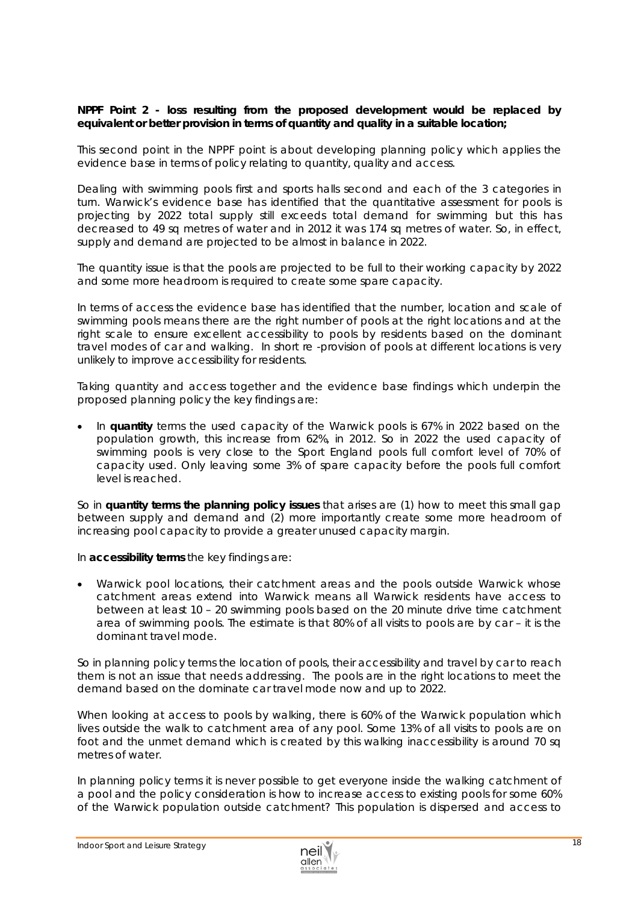## *NPPF Point 2 - loss resulting from the proposed development would be replaced by equivalent or better provision in terms of quantity and quality in a suitable location;*

This second point in the NPPF point is about developing planning policy which applies the evidence base in terms of policy relating to quantity, quality and access.

Dealing with swimming pools first and sports halls second and each of the 3 categories in turn. Warwick's evidence base has identified that the quantitative assessment for pools is projecting by 2022 total supply still exceeds total demand for swimming but this has decreased to 49 sq metres of water and in 2012 it was 174 sq metres of water. So, in effect, supply and demand are projected to be almost in balance in 2022.

The quantity issue is that the pools are projected to be full to their working capacity by 2022 and some more headroom is required to create some spare capacity.

In terms of access the evidence base has identified that the number, location and scale of swimming pools means there are the right number of pools at the right locations and at the right scale to ensure excellent accessibility to pools by residents based on the dominant travel modes of car and walking. In short re -provision of pools at different locations is very unlikely to improve accessibility for residents.

Taking quantity and access together and the evidence base findings which underpin the proposed planning policy the key findings are:

 In **quantity** terms the used capacity of the Warwick pools is 67% in 2022 based on the population growth, this increase from 62%, in 2012. So in 2022 the used capacity of swimming pools is very close to the Sport England pools full comfort level of 70% of capacity used. Only leaving some 3% of spare capacity before the *pools full* comfort level is reached.

So in **quantity terms the planning policy issues** that arises are (1) how to meet this small gap between supply and demand and (2) more importantly create some more headroom of increasing pool capacity to provide a greater unused capacity margin.

In **accessibility terms** the key findings are:

 Warwick pool locations, their catchment areas and the pools outside Warwick whose catchment areas extend into Warwick means all Warwick residents have access to between at least 10 – 20 swimming pools based on the 20 minute drive time catchment area of swimming pools. The estimate is that 80% of all visits to pools are by car – it is the dominant travel mode.

So in planning policy terms the location of pools, their accessibility and travel by car to reach them is not an issue that needs addressing. The pools are in the right locations to meet the demand based on the dominate car travel mode now and up to 2022.

When looking at access to pools by walking, there is 60% of the Warwick population which lives outside the walk to catchment area of any pool. Some 13% of all visits to pools are on foot and the unmet demand which is created by this walking inaccessibility is around 70 sq metres of water.

In planning policy terms it is never possible to get everyone inside the walking catchment of a pool and the policy consideration is how to increase access to existing pools for some 60% of the Warwick population outside catchment? This population is dispersed and access to

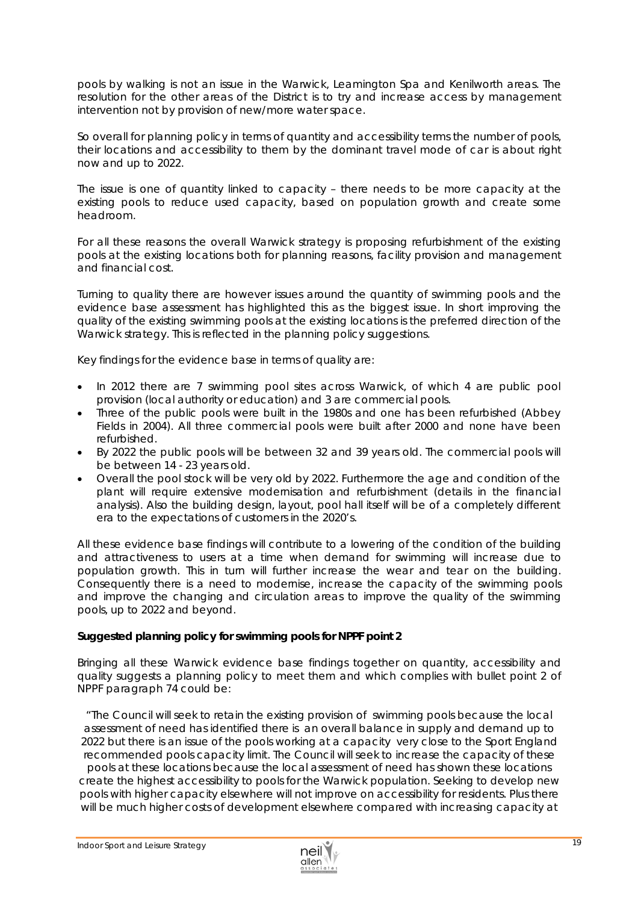pools by walking is not an issue in the Warwick, Leamington Spa and Kenilworth areas. The resolution for the other areas of the District is to try and increase access by management intervention not by provision of new/more water space.

So overall for planning policy in terms of quantity and accessibility terms the number of pools, their locations and accessibility to them by the dominant travel mode of car is about right now and up to 2022.

The issue is one of quantity linked to capacity – there needs to be more capacity at the existing pools to reduce used capacity, based on population growth and create some headroom.

For all these reasons the overall Warwick strategy is proposing refurbishment of the existing pools at the existing locations both for planning reasons, facility provision and management and financial cost.

Turning to quality there are however issues around the quantity of swimming pools and the evidence base assessment has highlighted this as the biggest issue. In short improving the quality of the existing swimming pools at the existing locations is the preferred direction of the Warwick strategy. This is reflected in the planning policy suggestions.

Key findings for the evidence base in terms of quality are:

- In 2012 there are 7 swimming pool sites across Warwick, of which 4 are public pool provision (local authority or education) and 3 are commercial pools.
- Three of the public pools were built in the 1980s and one has been refurbished (Abbey Fields in 2004). All three commercial pools were built after 2000 and none have been refurbished.
- By 2022 the public pools will be between 32 and 39 years old. The commercial pools will be between 14 - 23 years old.
- Overall the pool stock will be very old by 2022. Furthermore the age and condition of the plant will require extensive modernisation and refurbishment (details in the financial analysis). Also the building design, layout, pool hall itself will be of a completely different era to the expectations of customers in the 2020's.

All these evidence base findings will contribute to a lowering of the condition of the building and attractiveness to users at a time when demand for swimming will increase due to population growth. This in turn will further increase the *wear and tear* on the building. Consequently there is a need to modernise, increase the capacity of the swimming pools and improve the changing and circulation areas to improve the quality of the swimming pools, up to 2022 and beyond.

## *Suggested planning policy for swimming pools for NPPF point 2*

Bringing all these Warwick evidence base findings together on quantity, accessibility and quality suggests a planning policy to meet them and which complies with bullet point 2 of NPPF paragraph 74 could be:

*"The Council will seek to retain the existing provision of swimming pools because the local assessment of need has identified there is an overall balance in supply and demand up to 2022 but there is an issue of the pools working at a capacity very close to the Sport England recommended pools capacity limit. The Council will seek to increase the capacity of these pools at these locations because the local assessment of need has shown these locations create the highest accessibility to pools for the Warwick population. Seeking to develop new pools with higher capacity elsewhere will not improve on accessibility for residents. Plus there will be much higher costs of development elsewhere compared with increasing capacity at* 

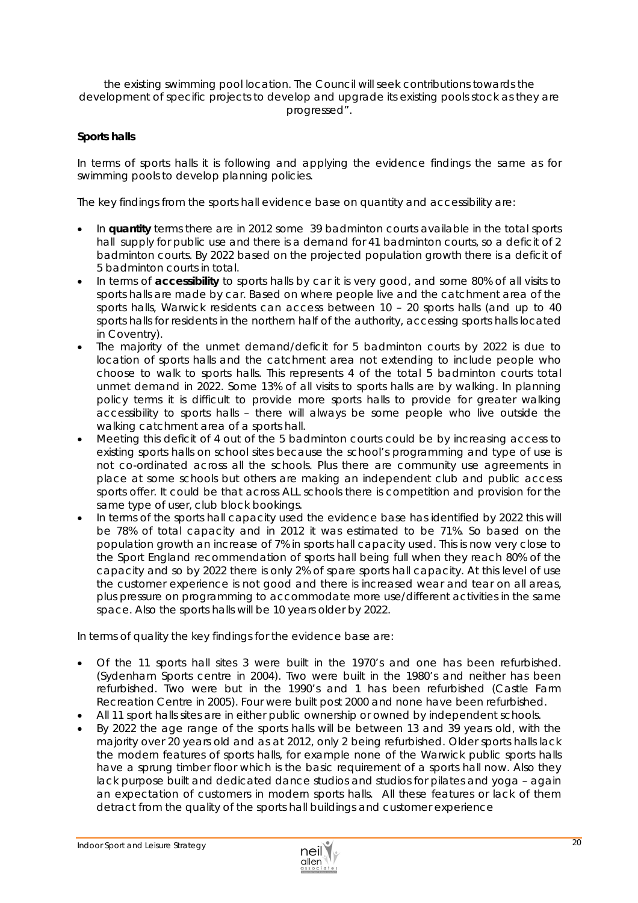#### *the existing swimming pool location. The Council will seek contributions towards the development of specific projects to develop and upgrade its existing pools stock as they are progressed".*

## *Sports halls*

In terms of sports halls it is following and applying the evidence findings the same as for swimming pools to develop planning policies.

The key findings from the sports hall evidence base on quantity and accessibility are:

- In **quantity** terms there are in 2012 some 39 badminton courts available in the total sports hall supply for public use and there is a demand for 41 badminton courts, so a deficit of 2 badminton courts. By 2022 based on the projected population growth there is a deficit of 5 badminton courts in total.
- In terms of **accessibility** to sports halls by car it is very good, and some 80% of all visits to sports halls are made by car. Based on where people live and the catchment area of the sports halls, Warwick residents can access between 10 – 20 sports halls (and up to 40 sports halls for residents in the northern half of the authority, accessing sports halls located in Coventry).
- The majority of the unmet demand/deficit for 5 badminton courts by 2022 is due to location of sports halls and the catchment area not extending to include people who choose to walk to sports halls. This represents 4 of the total 5 badminton courts total unmet demand in 2022. Some 13% of all visits to sports halls are by walking. In planning policy terms it is difficult to provide more sports halls to provide for greater walking accessibility to sports halls – there will always be some people who live outside the walking catchment area of a sports hall.
- Meeting this deficit of 4 out of the 5 badminton courts could be by increasing access to existing sports halls on school sites because the school's programming and type of use is not co-ordinated across all the schools. Plus there are community use agreements in place at some schools but others are making an independent club and public access sports offer. It could be that across ALL schools there is competition and provision for the same type of user, club block bookings.
- In terms of the sports hall capacity used the evidence base has identified by 2022 this will be 78% of total capacity and in 2012 it was estimated to be 71%. So based on the population growth an increase of 7% in sports hall capacity used. This is now very close to the Sport England recommendation of sports hall being full when they reach 80% of the capacity and so by 2022 there is only 2% of spare sports hall capacity. At this level of use the customer experience is not good and there is increased wear and tear on all areas, plus pressure on programming to accommodate more use/different activities in the same space. Also the sports halls will be 10 years older by 2022.

In terms of quality the key findings for the evidence base are:

- Of the 11 sports hall sites 3 were built in the 1970's and one has been refurbished. (Sydenham Sports centre in 2004). Two were built in the 1980's and neither has been refurbished. Two were but in the 1990's and 1 has been refurbished (Castle Farm Recreation Centre in 2005). Four were built post 2000 and none have been refurbished.
- All 11 sport halls sites are in either public ownership or owned by independent schools.
- By 2022 the age range of the sports halls will be between 13 and 39 years old, with the majority over 20 years old and as at 2012, only 2 being refurbished. Older sports halls lack the modern features of sports halls, for example none of the Warwick public sports halls have a sprung timber floor which is the basic requirement of a sports hall now. Also they lack purpose built and dedicated dance studios and studios for pilates and yoga – again an expectation of customers in modern sports halls. All these features or lack of them detract from the quality of the sports hall buildings and customer experience

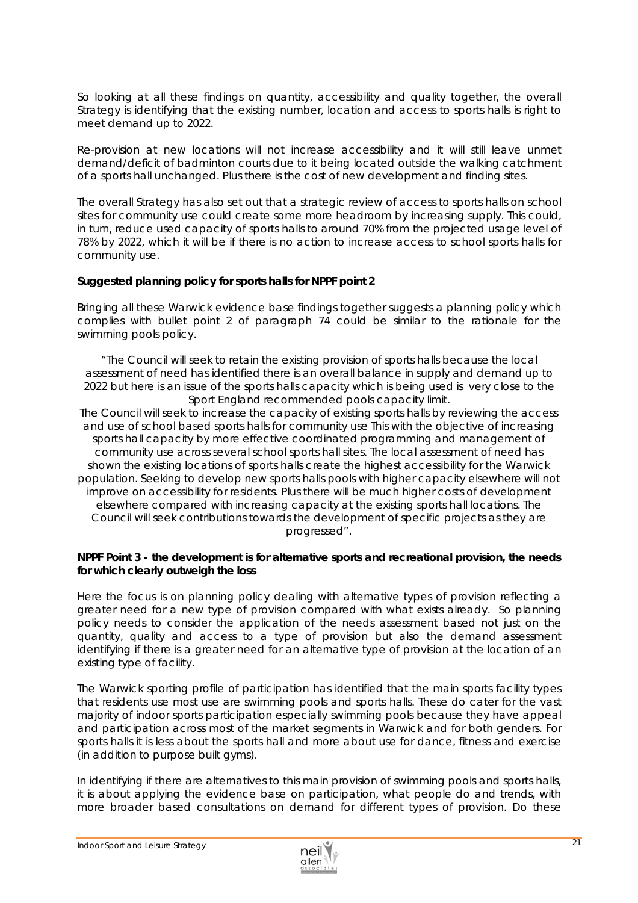So looking at all these findings on quantity, accessibility and quality together, the overall Strategy is identifying that the existing number, location and access to sports halls is right to meet demand up to 2022.

Re-provision at new locations will not increase accessibility and it will still leave unmet demand/deficit of badminton courts due to it being located outside the walking catchment of a sports hall unchanged. Plus there is the cost of new development and finding sites.

The overall Strategy has also set out that a strategic review of access to sports halls on school sites for community use could create some more headroom by increasing supply. This could, in turn, reduce used capacity of sports halls to around 70% from the projected usage level of 78% by 2022, which it will be if there is no action to increase access to school sports halls for community use.

## *Suggested planning policy for sports halls for NPPF point 2*

Bringing all these Warwick evidence base findings together suggests a planning policy which complies with bullet point 2 of paragraph 74 could be similar to the rationale for the swimming pools policy.

*"The Council will seek to retain the existing provision of sports halls because the local assessment of need has identified there is an overall balance in supply and demand up to 2022 but here is an issue of the sports halls capacity which is being used is very close to the Sport England recommended pools capacity limit.* 

*The Council will seek to increase the capacity of existing sports halls by reviewing the access and use of school based sports halls for community use This with the objective of increasing*  sports hall capacity by more effective coordinated programming and management of *community use across several school sports hall sites. The local assessment of need has shown the existing locations of sports halls create the highest accessibility for the Warwick population. Seeking to develop new sports halls pools with higher capacity elsewhere will not improve on accessibility for residents. Plus there will be much higher costs of development elsewhere compared with increasing capacity at the existing sports hall locations. The Council will seek contributions towards the development of specific projects as they are progressed".* 

## *NPPF Point 3 - the development is for alternative sports and recreational provision, the needs for which clearly outweigh the loss*

Here the focus is on planning policy dealing with alternative types of provision reflecting a greater need for a new type of provision compared with what exists already.So planning policy needs to consider the application of the needs assessment based not just on the quantity, quality and access to a type of provision but also the demand assessment identifying if there is a greater need for an alternative type of provision at the location of an existing type of facility.

The Warwick sporting profile of participation has identified that the main sports facility types that residents use most use are swimming pools and sports halls. These do cater for the vast majority of indoor sports participation especially swimming pools because they have appeal and participation across most of the market segments in Warwick and for both genders. For sports halls it is less about the sports hall and more about use for dance, fitness and exercise (in addition to purpose built gyms).

In identifying if there are alternatives to this main provision of swimming pools and sports halls, it is about applying the evidence base on participation, what people do and trends, with more broader based consultations on demand for different types of provision. Do these

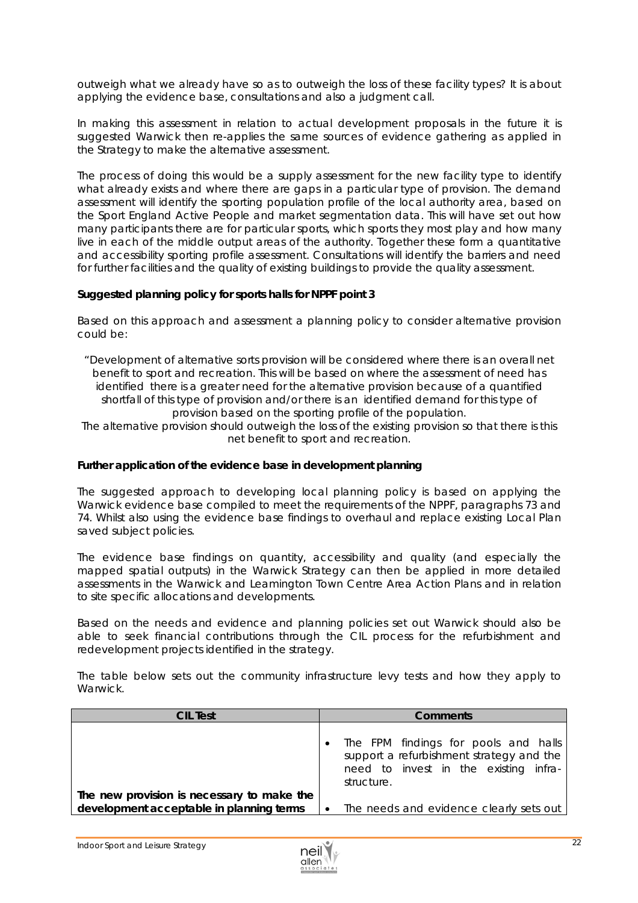outweigh what we already have so as to outweigh the loss of these facility types? It is about applying the evidence base, consultations and also a judgment call.

In making this assessment in relation to actual development proposals in the future it is suggested Warwick then re-applies the same sources of evidence gathering as applied in the Strategy to make the alternative assessment.

The process of doing this would be a supply assessment for the new facility type to identify what already exists and where there are gaps in a particular type of provision. The demand assessment will identify the sporting population profile of the local authority area, based on the Sport England Active People and market segmentation data. This will have set out how many participants there are for particular sports, which sports they most play and how many live in each of the middle output areas of the authority. Together these form a quantitative and accessibility sporting profile assessment. Consultations will identify the barriers and need for further facilities and the quality of existing buildings to provide the quality assessment.

#### *Suggested planning policy for sports halls for NPPF point 3*

Based on this approach and assessment a planning policy to consider alternative provision could be:

*"Development of alternative sorts provision will be considered where there is an overall net benefit to sport and recreation. This will be based on where the assessment of need has identified there is a greater need for the alternative provision because of a quantified shortfall of this type of provision and/or there is an identified demand for this type of provision based on the sporting profile of the population.* 

*The alternative provision should outweigh the loss of the existing provision so that there is this net benefit to sport and recreation.* 

#### *Further application of the evidence base in development planning*

The suggested approach to developing local planning policy is based on applying the Warwick evidence base compiled to meet the requirements of the NPPF, paragraphs 73 and 74. Whilst also using the evidence base findings to overhaul and replace existing Local Plan saved subject policies.

The evidence base findings on quantity, accessibility and quality (and especially the mapped spatial outputs) in the Warwick Strategy can then be applied in more detailed assessments in the Warwick and Leamington Town Centre Area Action Plans and in relation to site specific allocations and developments.

Based on the *needs and evidence* and planning policies set out Warwick should also be able to seek financial contributions through the CIL process for the refurbishment and redevelopment projects identified in the strategy.

The table below sets out the community infrastructure levy tests and how they apply to Warwick.

| <b>CIL Test</b>                            | <b>Comments</b>                                                                                                                         |  |  |
|--------------------------------------------|-----------------------------------------------------------------------------------------------------------------------------------------|--|--|
|                                            | The FPM findings for pools and halls<br>support a refurbishment strategy and the<br>need to invest in the existing infra-<br>structure. |  |  |
| The new provision is necessary to make the |                                                                                                                                         |  |  |
| development acceptable in planning terms   | The needs and evidence clearly sets out                                                                                                 |  |  |

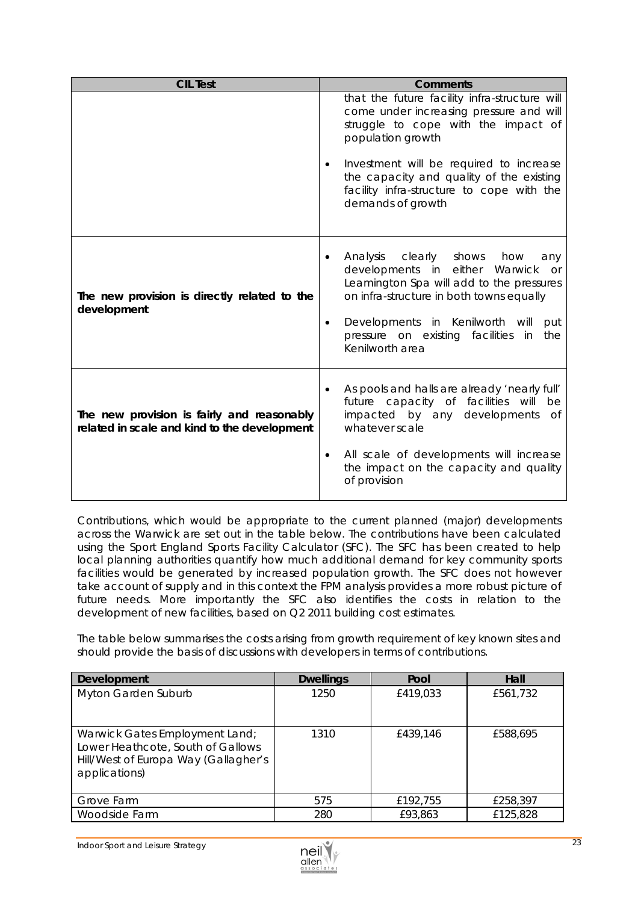| <b>CIL Test</b>                                                                            | <b>Comments</b>                                                                                                                                                                                                                                                                                                             |  |  |
|--------------------------------------------------------------------------------------------|-----------------------------------------------------------------------------------------------------------------------------------------------------------------------------------------------------------------------------------------------------------------------------------------------------------------------------|--|--|
|                                                                                            | that the future facility infra-structure will<br>come under increasing pressure and will<br>struggle to cope with the impact of<br>population growth<br>Investment will be required to increase<br>$\bullet$<br>the capacity and quality of the existing<br>facility infra-structure to cope with the<br>demands of growth  |  |  |
| The new provision is directly related to the<br>development                                | Analysis<br>clearly<br>shows<br>how<br>any<br>$\bullet$<br>developments in<br>either<br>Warwick<br><b>or</b><br>Leamington Spa will add to the pressures<br>on infra-structure in both towns equally<br>Developments in Kenilworth will<br>put<br>$\bullet$<br>pressure on existing facilities in<br>the<br>Kenilworth area |  |  |
| The new provision is fairly and reasonably<br>related in scale and kind to the development | As pools and halls are already 'nearly full'<br>future capacity of facilities will<br>be<br>impacted by any developments<br><b>of</b><br>whatever scale<br>All scale of developments will increase<br>٠<br>the impact on the capacity and quality<br>of provision                                                           |  |  |

Contributions, which would be appropriate to the current planned (major) developments across the Warwick are set out in the table below. The contributions have been calculated using the Sport England Sports Facility Calculator (SFC). The SFC has been created to help local planning authorities quantify how much additional demand for key community sports facilities would be generated by increased population growth. The SFC does not however take account of supply and in this context the FPM analysis provides a more robust picture of future needs. More importantly the SFC also identifies the costs in relation to the development of new facilities, based on Q2 2011 building cost estimates.

The table below summarises the costs arising from growth requirement of key known sites and should provide the basis of discussions with developers in terms of contributions.

| Development                                                                                                                  | <b>Dwellings</b> | Pool     | Hall     |
|------------------------------------------------------------------------------------------------------------------------------|------------------|----------|----------|
| Myton Garden Suburb                                                                                                          | 1250             | £419,033 | £561,732 |
| Warwick Gates Employment Land;<br>Lower Heathcote, South of Gallows<br>Hill/West of Europa Way (Gallagher's<br>applications) | 1310             | £439,146 | £588,695 |
| Grove Farm                                                                                                                   | 575              | £192,755 | £258,397 |
| Woodside Farm                                                                                                                | 280              | £93,863  | £125,828 |

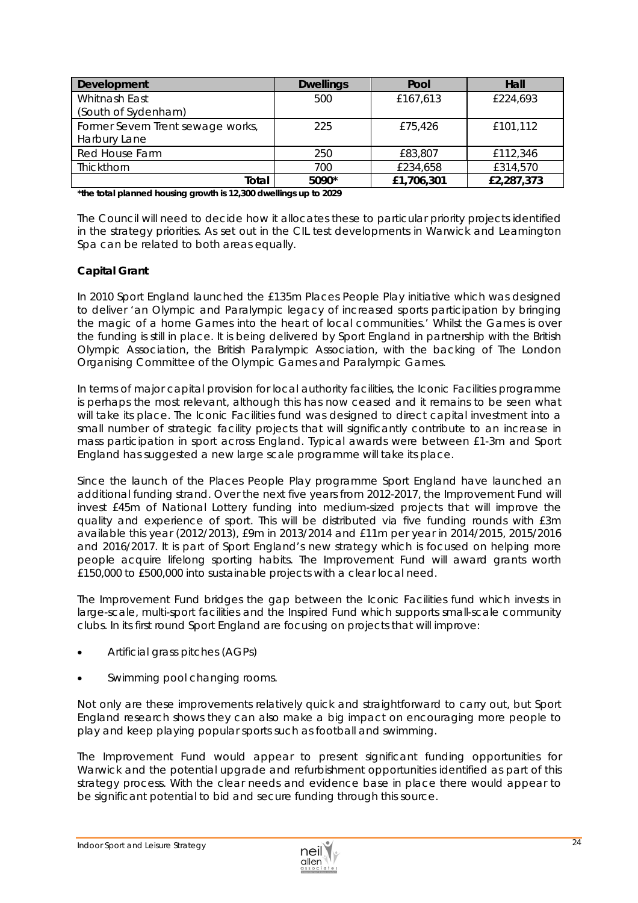| Development                       | <b>Dwellings</b> | Pool       | Hall       |
|-----------------------------------|------------------|------------|------------|
| Whitnash East                     | 500              | £167,613   | £224,693   |
| (South of Sydenham)               |                  |            |            |
| Former Severn Trent sewage works, | 225              | £75,426    | £101,112   |
| Harbury Lane                      |                  |            |            |
| Red House Farm                    | 250              | £83,807    | £112,346   |
| Thickthorn                        | 700              | £234,658   | £314,570   |
| Total                             | 5090*            | £1,706,301 | £2,287,373 |

*\*the total planned housing growth is 12,300 dwellings up to 2029* 

The Council will need to decide how it allocates these to particular priority projects identified in the strategy priorities. As set out in the CIL test developments in Warwick and Leamington Spa can be related to both areas equally.

## *Capital Grant*

In 2010 Sport England launched the £135m Places People Play initiative which was designed to deliver *'an Olympic and Paralympic legacy of increased sports participation by bringing the magic of a home Games into the heart of local communities.'* Whilst the Games is over the funding is still in place. It is being delivered by Sport England in partnership with the British Olympic Association, the British Paralympic Association, with the backing of The London Organising Committee of the Olympic Games and Paralympic Games.

In terms of major capital provision for local authority facilities, the Iconic Facilities programme is perhaps the most relevant, although this has now ceased and it remains to be seen what will take its place. The Iconic Facilities fund was designed to direct capital investment into a small number of strategic facility projects that will significantly contribute to an increase in mass participation in sport across England. Typical awards were between £1-3m and Sport England has suggested a new large scale programme will take its place.

Since the launch of the Places People Play programme Sport England have launched an additional funding strand. Over the next five years from 2012-2017, the *Improvement Fund* will invest £45m of National Lottery funding into medium-sized projects that will improve the quality and experience of sport. This will be distributed via five funding rounds with £3m available this year (2012/2013), £9m in 2013/2014 and £11m per year in 2014/2015, 2015/2016 and 2016/2017. It is part of Sport England's new strategy which is focused on helping more people acquire lifelong sporting habits. The Improvement Fund will award grants worth £150,000 to £500,000 into sustainable projects with a clear local need.

The Improvement Fund bridges the gap between the Iconic Facilities fund which invests in large-scale, multi-sport facilities and the Inspired Fund which supports small-scale community clubs. In its first round Sport England are focusing on projects that will improve:

- Artificial grass pitches (AGPs)
- Swimming pool changing rooms.

Not only are these improvements relatively quick and straightforward to carry out, but Sport England research shows they can also make a big impact on encouraging more people to play and keep playing popular sports such as football and swimming.

The Improvement Fund would appear to present significant funding opportunities for Warwick and the potential upgrade and refurbishment opportunities identified as part of this strategy process. With the clear needs and evidence base in place there would appear to be significant potential to bid and secure funding through this source.

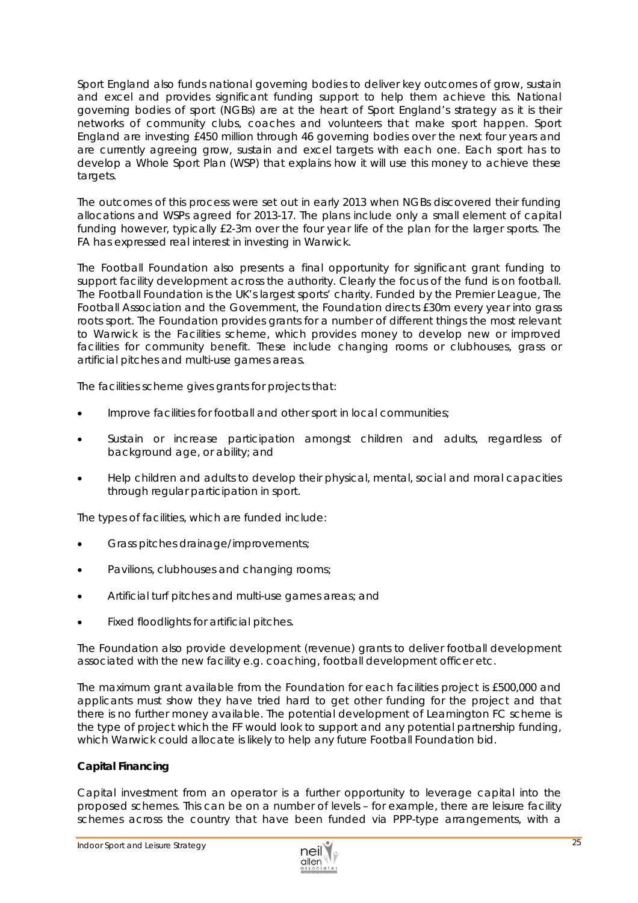Sport England also funds national governing bodies to deliver key outcomes of grow, sustain and excel and provides significant funding support to help them achieve this. National governing bodies of sport (NGBs) are at the heart of Sport England's strategy as it is their networks of community clubs, coaches and volunteers that make sport happen. Sport England are investing £450 million through 46 governing bodies over the next four years and are currently agreeing grow, sustain and excel targets with each one. Each sport has to develop a *Whole Sport Plan* (WSP) that explains how it will use this money to achieve these targets.

The outcomes of this process were set out in early 2013 when NGBs discovered their funding allocations and WSPs agreed for 2013-17. The plans include only a small element of capital funding however, typically £2-3m over the four year life of the plan for the larger sports. The FA has expressed real interest in investing in Warwick.

The Football Foundation also presents a final opportunity for significant grant funding to support facility development across the authority. Clearly the focus of the fund is on football. The Football Foundation is the UK's largest sports' charity. Funded by the Premier League, The Football Association and the Government, the Foundation directs £30m every year into grass roots sport. The Foundation provides grants for a number of different things the most relevant to Warwick is the Facilities scheme, which provides money to develop new or improved facilities for community benefit. These include changing rooms or clubhouses, grass or artificial pitches and multi-use games areas.

The facilities scheme gives grants for projects that:

- Improve facilities for football and other sport in local communities;
- Sustain or increase participation amongst children and adults, regardless of background age, or ability; and
- Help children and adults to develop their physical, mental, social and moral capacities through regular participation in sport.

The types of facilities, which are funded include:

- Grass pitches drainage/improvements;
- Pavilions, clubhouses and changing rooms;
- Artificial turf pitches and multi-use games areas; and
- Fixed floodlights for artificial pitches.

The Foundation also provide development (revenue) grants to deliver football development associated with the new facility e.g. coaching, football development officer etc.

The maximum grant available from the Foundation for each facilities project is £500,000 and applicants must show they have tried hard to get other funding for the project and that there is no further money available. The potential development of Leamington FC scheme is the type of project which the FF would look to support and any potential partnership funding, which Warwick could allocate is likely to help any future Football Foundation bid.

## *Capital Financing*

Capital investment from an operator is a further opportunity to leverage capital into the proposed schemes. This can be on a number of levels – for example, there are leisure facility schemes across the country that have been funded via PPP-type arrangements, with a